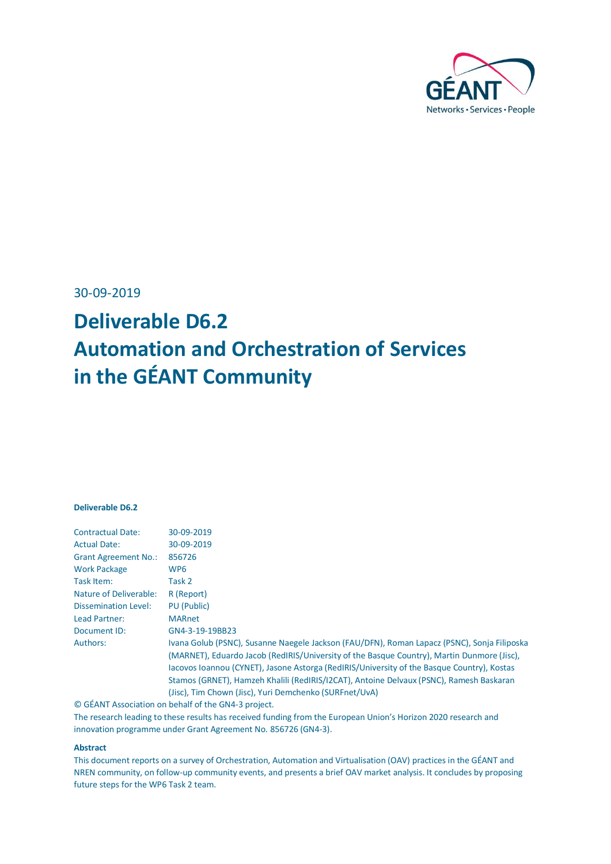

30-09-2019

# **Deliverable D6.2 Automation and Orchestration of Services in the GÉANT Community**

#### **Deliverable D6.2**

| <b>Contractual Date:</b>      | 30-09-2019                                                                                  |
|-------------------------------|---------------------------------------------------------------------------------------------|
| <b>Actual Date:</b>           | 30-09-2019                                                                                  |
| <b>Grant Agreement No.:</b>   | 856726                                                                                      |
| <b>Work Package</b>           | WP6                                                                                         |
| Task Item:                    | Task 2                                                                                      |
| <b>Nature of Deliverable:</b> | R (Report)                                                                                  |
| Dissemination Level:          | <b>PU</b> (Public)                                                                          |
| Lead Partner:                 | <b>MARnet</b>                                                                               |
| Document ID:                  | GN4-3-19-19BB23                                                                             |
| Authors:                      | Ivana Golub (PSNC), Susanne Naegele Jackson (FAU/DFN), Roman Lapacz (PSNC), Sonja Filiposka |
|                               | (MARNET), Eduardo Jacob (RedIRIS/University of the Basque Country), Martin Dunmore (Jisc),  |
|                               | Jacovos Joannou (CYNET), Jasone Astorga (RedIRIS/University of the Basque Country), Kostas  |
|                               | Stamos (GRNET), Hamzeh Khalili (RedIRIS/I2CAT), Antoine Delvaux (PSNC), Ramesh Baskaran     |
|                               | (Jisc), Tim Chown (Jisc), Yuri Demchenko (SURFnet/UvA)                                      |

© GÉANT Association on behalf of the GN4-3 project. The research leading to these results has received funding from the European Union's Horizon 2020 research and innovation programme under Grant Agreement No. 856726 (GN4-3).

#### **Abstract**

This document reports on a survey of Orchestration, Automation and Virtualisation (OAV) practices in the GÉANT and NREN community, on follow-up community events, and presents a brief OAV market analysis. It concludes by proposing future steps for the WP6 Task 2 team.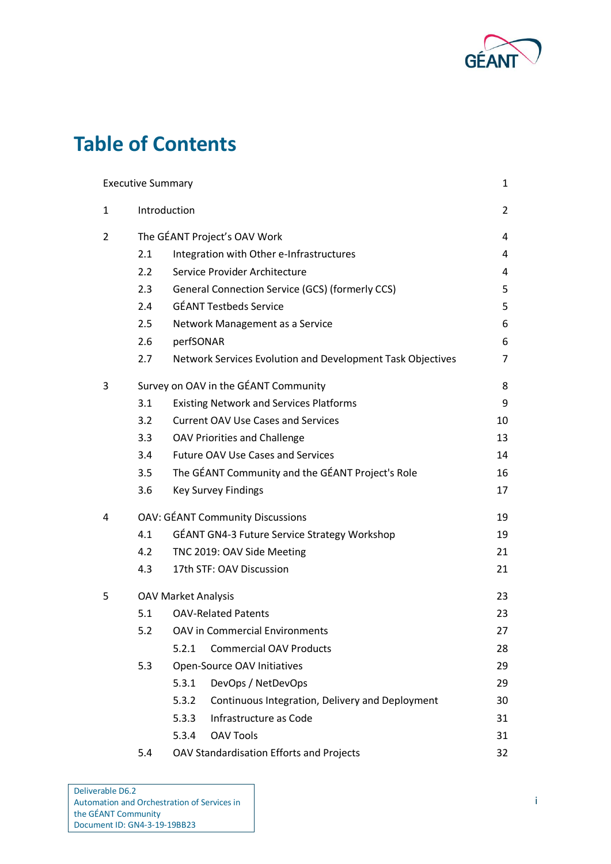

# **Table of Contents**

|   | <b>Executive Summary</b> |                                                            | 1              |
|---|--------------------------|------------------------------------------------------------|----------------|
| 1 |                          | Introduction                                               | $\overline{2}$ |
| 2 |                          | The GÉANT Project's OAV Work                               | 4              |
|   | 2.1                      | Integration with Other e-Infrastructures                   | 4              |
|   | $2.2\phantom{0}$         | Service Provider Architecture                              | 4              |
|   | 2.3                      | General Connection Service (GCS) (formerly CCS)            | 5              |
|   | 2.4                      | <b>GÉANT Testbeds Service</b>                              | 5              |
|   | 2.5                      | Network Management as a Service                            | 6              |
|   | 2.6                      | perfSONAR                                                  | 6              |
|   | 2.7                      | Network Services Evolution and Development Task Objectives | $\overline{7}$ |
| 3 |                          | Survey on OAV in the GÉANT Community                       | 8              |
|   | 3.1                      | <b>Existing Network and Services Platforms</b>             | 9              |
|   | 3.2                      | <b>Current OAV Use Cases and Services</b>                  | 10             |
|   | 3.3                      | <b>OAV Priorities and Challenge</b>                        | 13             |
|   | 3.4                      | <b>Future OAV Use Cases and Services</b>                   | 14             |
|   | 3.5                      | The GÉANT Community and the GÉANT Project's Role           | 16             |
|   | 3.6                      | <b>Key Survey Findings</b>                                 | 17             |
| 4 |                          | <b>OAV: GÉANT Community Discussions</b>                    | 19             |
|   | 4.1                      | GÉANT GN4-3 Future Service Strategy Workshop               | 19             |
|   | 4.2                      | TNC 2019: OAV Side Meeting                                 | 21             |
|   | 4.3                      | 17th STF: OAV Discussion                                   | 21             |
| 5 |                          | <b>OAV Market Analysis</b>                                 | 23             |
|   | 5.1                      | <b>OAV-Related Patents</b>                                 | 23             |
|   | 5.2                      | <b>OAV in Commercial Environments</b>                      | 27             |
|   |                          | <b>Commercial OAV Products</b><br>5.2.1                    | 28             |
|   | 5.3                      | Open-Source OAV Initiatives                                | 29             |
|   |                          | DevOps / NetDevOps<br>5.3.1                                | 29             |
|   |                          | 5.3.2<br>Continuous Integration, Delivery and Deployment   | 30             |
|   |                          | Infrastructure as Code<br>5.3.3                            | 31             |
|   |                          | <b>OAV Tools</b><br>5.3.4                                  | 31             |
|   | 5.4                      | OAV Standardisation Efforts and Projects                   | 32             |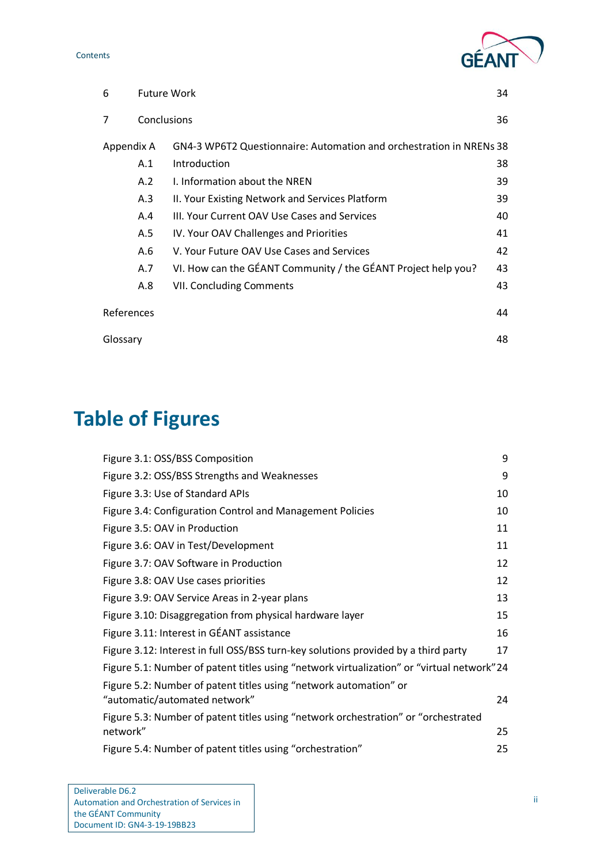Contents



| 6          | <b>Future Work</b> |                                                                     | 34 |
|------------|--------------------|---------------------------------------------------------------------|----|
| 7          | Conclusions        |                                                                     | 36 |
| Appendix A |                    | GN4-3 WP6T2 Questionnaire: Automation and orchestration in NRENs 38 |    |
|            | A.1                | Introduction                                                        | 38 |
|            | A.2                | I. Information about the NREN                                       | 39 |
|            | A.3                | II. Your Existing Network and Services Platform                     | 39 |
|            | A.4                | III. Your Current OAV Use Cases and Services                        | 40 |
|            | A.5                | IV. Your OAV Challenges and Priorities                              | 41 |
|            | A.6                | V. Your Future OAV Use Cases and Services                           | 42 |
|            | A.7                | VI. How can the GÉANT Community / the GÉANT Project help you?       | 43 |
|            | A.8                | VII. Concluding Comments                                            | 43 |
| References |                    |                                                                     | 44 |
| Glossary   |                    |                                                                     | 48 |

# **Table of Figures**

| Figure 3.1: OSS/BSS Composition                                                                    | 9  |
|----------------------------------------------------------------------------------------------------|----|
| Figure 3.2: OSS/BSS Strengths and Weaknesses                                                       | 9  |
| Figure 3.3: Use of Standard APIs                                                                   | 10 |
| Figure 3.4: Configuration Control and Management Policies                                          | 10 |
| Figure 3.5: OAV in Production                                                                      | 11 |
| Figure 3.6: OAV in Test/Development                                                                | 11 |
| Figure 3.7: OAV Software in Production                                                             | 12 |
| Figure 3.8: OAV Use cases priorities                                                               | 12 |
| Figure 3.9: OAV Service Areas in 2-year plans                                                      | 13 |
| Figure 3.10: Disaggregation from physical hardware layer                                           | 15 |
| Figure 3.11: Interest in GÉANT assistance                                                          | 16 |
| Figure 3.12: Interest in full OSS/BSS turn-key solutions provided by a third party                 | 17 |
| Figure 5.1: Number of patent titles using "network virtualization" or "virtual network" 24         |    |
| Figure 5.2: Number of patent titles using "network automation" or<br>"automatic/automated network" | 24 |
| Figure 5.3: Number of patent titles using "network orchestration" or "orchestrated                 |    |
| network"                                                                                           | 25 |
| Figure 5.4: Number of patent titles using "orchestration"                                          | 25 |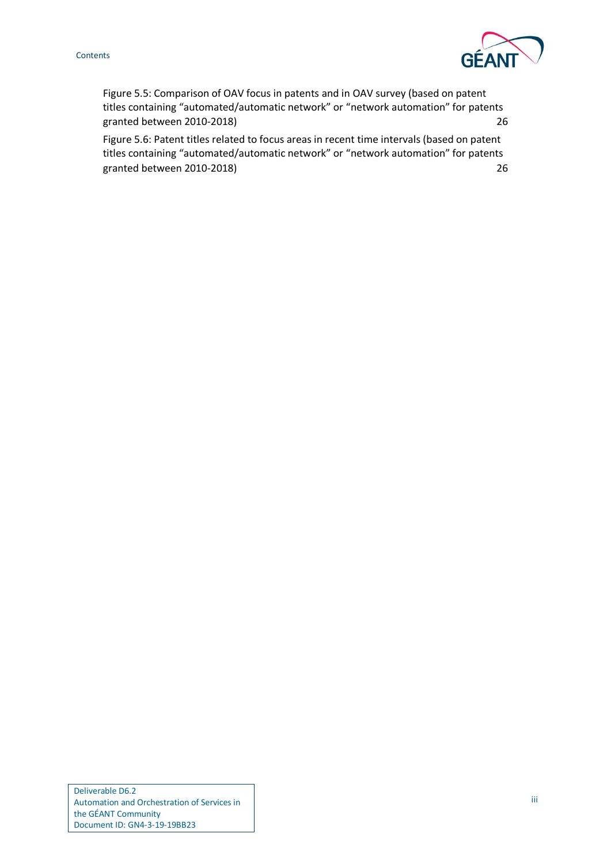#### Contents



[Figure 5.5: Comparison of OAV focus in patents and in OAV survey \(based on patent](#page-29-0)  ti[tles containing "automated/automatic network" or "network automation" for patents](#page-29-0)  [granted between 2010-2018\)](#page-29-0) 26

[Figure 5.6: Patent titles related to focus areas in recent time intervals \(based on patent](#page-29-1)  [titles containing "automated/automatic network" or "network automation" for patents](#page-29-1)  [granted between 2010-2018\)](#page-29-1) 26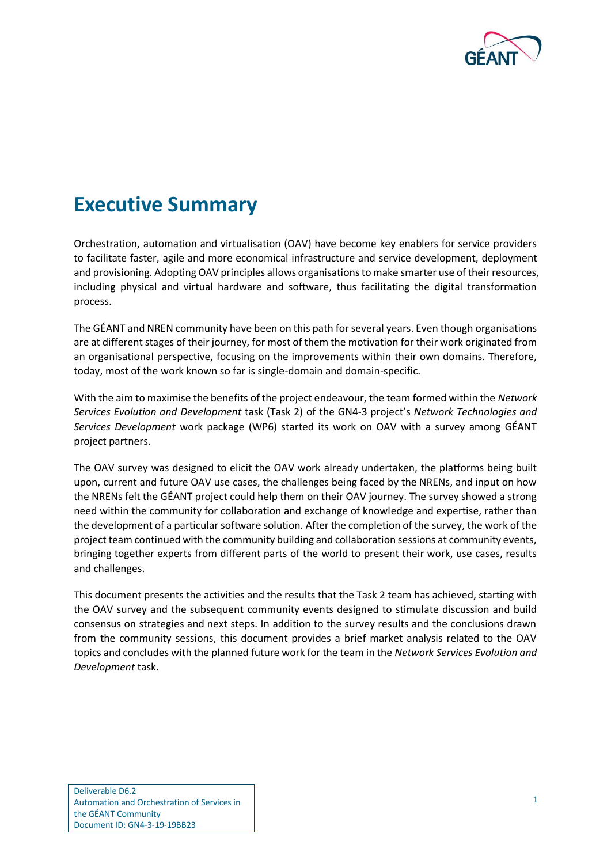

## <span id="page-4-0"></span>**Executive Summary**

Orchestration, automation and virtualisation (OAV) have become key enablers for service providers to facilitate faster, agile and more economical infrastructure and service development, deployment and provisioning. Adopting OAV principles allows organisations to make smarter use of their resources, including physical and virtual hardware and software, thus facilitating the digital transformation process.

The GÉANT and NREN community have been on this path for several years. Even though organisations are at different stages of their journey, for most of them the motivation for their work originated from an organisational perspective, focusing on the improvements within their own domains. Therefore, today, most of the work known so far is single-domain and domain-specific.

With the aim to maximise the benefits of the project endeavour, the team formed within the *Network Services Evolution and Development* task (Task 2) of the GN4-3 project's *Network Technologies and Services Development* work package (WP6) started its work on OAV with a survey among GÉANT project partners.

The OAV survey was designed to elicit the OAV work already undertaken, the platforms being built upon, current and future OAV use cases, the challenges being faced by the NRENs, and input on how the NRENs felt the GÉANT project could help them on their OAV journey. The survey showed a strong need within the community for collaboration and exchange of knowledge and expertise, rather than the development of a particular software solution. After the completion of the survey, the work of the project team continued with the community building and collaboration sessions at community events, bringing together experts from different parts of the world to present their work, use cases, results and challenges.

This document presents the activities and the results that the Task 2 team has achieved, starting with the OAV survey and the subsequent community events designed to stimulate discussion and build consensus on strategies and next steps. In addition to the survey results and the conclusions drawn from the community sessions, this document provides a brief market analysis related to the OAV topics and concludes with the planned future work for the team in the *Network Services Evolution and Development* task.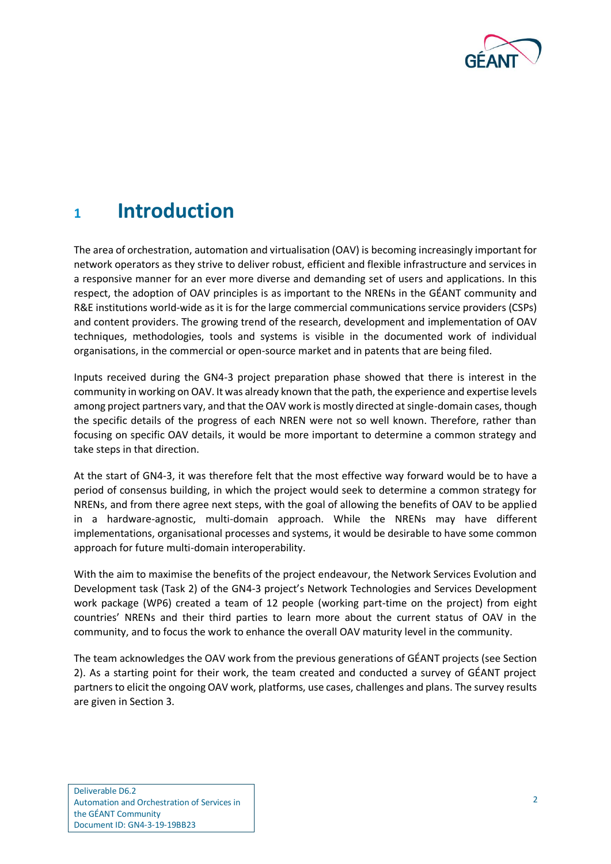

## <span id="page-5-0"></span>**<sup>1</sup> Introduction**

The area of orchestration, automation and virtualisation (OAV) is becoming increasingly important for network operators as they strive to deliver robust, efficient and flexible infrastructure and services in a responsive manner for an ever more diverse and demanding set of users and applications. In this respect, the adoption of OAV principles is as important to the NRENs in the GÉANT community and R&E institutions world-wide as it is for the large commercial communications service providers (CSPs) and content providers. The growing trend of the research, development and implementation of OAV techniques, methodologies, tools and systems is visible in the documented work of individual organisations, in the commercial or open-source market and in patents that are being filed.

Inputs received during the GN4-3 project preparation phase showed that there is interest in the community in working on OAV. It was already known that the path, the experience and expertise levels among project partners vary, and that the OAV work is mostly directed at single-domain cases, though the specific details of the progress of each NREN were not so well known. Therefore, rather than focusing on specific OAV details, it would be more important to determine a common strategy and take steps in that direction.

At the start of GN4-3, it was therefore felt that the most effective way forward would be to have a period of consensus building, in which the project would seek to determine a common strategy for NRENs, and from there agree next steps, with the goal of allowing the benefits of OAV to be applied in a hardware-agnostic, multi-domain approach. While the NRENs may have different implementations, organisational processes and systems, it would be desirable to have some common approach for future multi-domain interoperability.

With the aim to maximise the benefits of the project endeavour, the Network Services Evolution and Development task (Task 2) of the GN4-3 project's Network Technologies and Services Development work package (WP6) created a team of 12 people (working part-time on the project) from eight countries' NRENs and their third parties to learn more about the current status of OAV in the community, and to focus the work to enhance the overall OAV maturity level in the community.

The team acknowledges the OAV work from the previous generations of GÉANT projects (see Section 2). As a starting point for their work, the team created and conducted a survey of GÉANT project partners to elicit the ongoing OAV work, platforms, use cases, challenges and plans. The survey results are given in Section 3.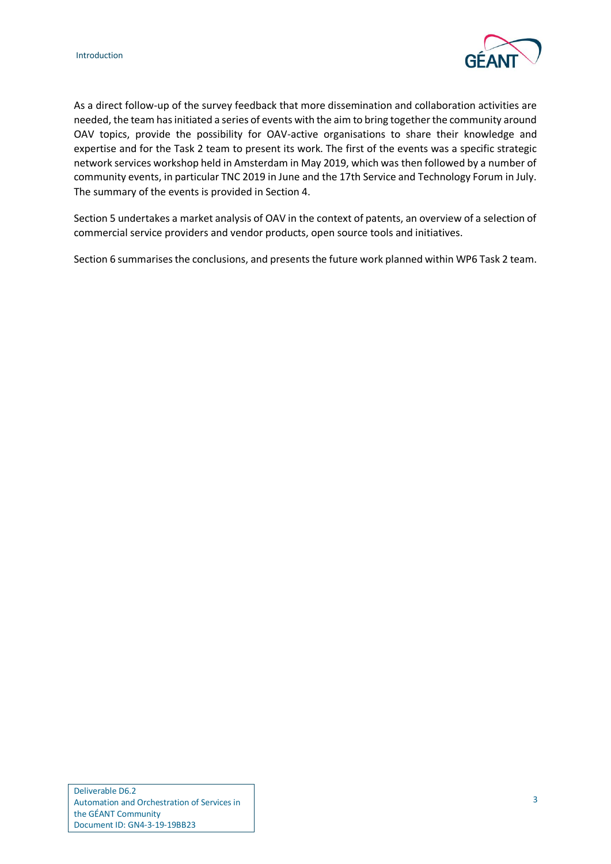

As a direct follow-up of the survey feedback that more dissemination and collaboration activities are needed, the team has initiated a series of events with the aim to bring together the community around OAV topics, provide the possibility for OAV-active organisations to share their knowledge and expertise and for the Task 2 team to present its work. The first of the events was a specific strategic network services workshop held in Amsterdam in May 2019, which was then followed by a number of community events, in particular TNC 2019 in June and the 17th Service and Technology Forum in July. The summary of the events is provided in Section 4.

Section 5 undertakes a market analysis of OAV in the context of patents, an overview of a selection of commercial service providers and vendor products, open source tools and initiatives.

Section 6 summarises the conclusions, and presents the future work planned within WP6 Task 2 team.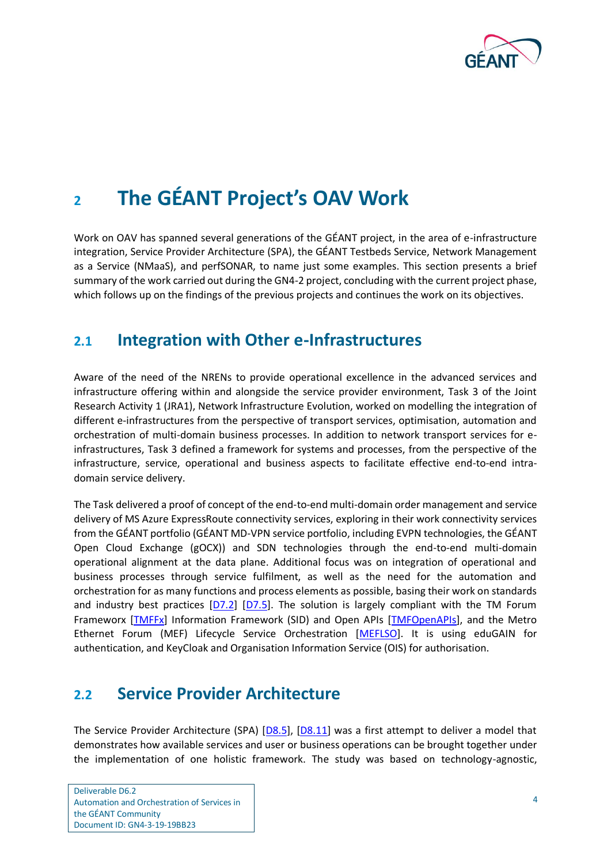

# <span id="page-7-0"></span>**<sup>2</sup> The GÉANT Project's OAV Work**

Work on OAV has spanned several generations of the GÉANT project, in the area of e-infrastructure integration, Service Provider Architecture (SPA), the GÉANT Testbeds Service, Network Management as a Service (NMaaS), and perfSONAR, to name just some examples. This section presents a brief summary of the work carried out during the GN4-2 project, concluding with the current project phase, which follows up on the findings of the previous projects and continues the work on its objectives.

### <span id="page-7-1"></span>**2.1 Integration with Other e-Infrastructures**

Aware of the need of the NRENs to provide operational excellence in the advanced services and infrastructure offering within and alongside the service provider environment, Task 3 of the Joint Research Activity 1 (JRA1), Network Infrastructure Evolution, worked on modelling the integration of different e-infrastructures from the perspective of transport services, optimisation, automation and orchestration of multi-domain business processes. In addition to network transport services for einfrastructures, Task 3 defined a framework for systems and processes, from the perspective of the infrastructure, service, operational and business aspects to facilitate effective end-to-end intradomain service delivery.

The Task delivered a proof of concept of the end-to-end multi-domain order management and service delivery of MS Azure ExpressRoute connectivity services, exploring in their work connectivity services from the GÉANT portfolio (GÉANT MD-VPN service portfolio, including EVPN technologies, the GÉANT Open Cloud Exchange (gOCX)) and SDN technologies through the end-to-end multi-domain operational alignment at the data plane. Additional focus was on integration of operational and business processes through service fulfilment, as well as the need for the automation and orchestration for as many functions and process elements as possible, basing their work on standards and industry best practices  $[D7.2]$   $[D7.5]$ . The solution is largely compliant with the TM Forum Frameworx [\[TMFFx\]](#page-50-0) Information Framework (SID) and Open APIs [\[TMFOpenAPIs\]](#page-50-1), and the Metro Ethernet Forum (MEF) Lifecycle Service Orchestration [\[MEFLSO\]](#page-48-0). It is using eduGAIN for authentication, and KeyCloak and Organisation Information Service (OIS) for authorisation.

### <span id="page-7-2"></span>**2.2 Service Provider Architecture**

The Service Provider Architecture (SPA) [\[D8.5\]](#page-48-1), [\[D8.11\]](#page-48-2) was a first attempt to deliver a model that demonstrates how available services and user or business operations can be brought together under the implementation of one holistic framework. The study was based on technology-agnostic,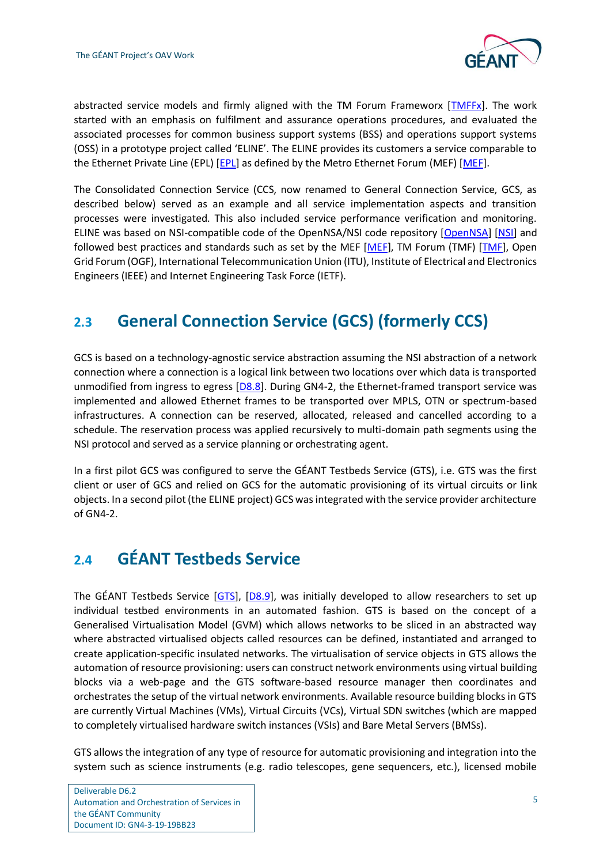

abstracted service models and firmly aligned with the TM Forum Frameworx [\[TMFFx\]](#page-50-0). The work started with an emphasis on fulfilment and assurance operations procedures, and evaluated the associated processes for common business support systems (BSS) and operations support systems (OSS) in a prototype project called 'ELINE'. The ELINE provides its customers a service comparable to the Ethernet Private Line (EPL) [\[EPL\]](#page-48-3) as defined by the Metro Ethernet Forum (MEF) [\[MEF\]](#page-48-4).

The Consolidated Connection Service (CCS, now renamed to General Connection Service, GCS, as described below) served as an example and all service implementation aspects and transition processes were investigated. This also included service performance verification and monitoring. ELINE was based on NSI-compatible code of the OpenNSA/NSI code repository [\[OpenNSA\]](#page-49-0) [\[NSI\]](#page-49-1) and followed best practices and standards such as set by the MEF [\[MEF\]](#page-48-4), TM Forum (TMF) [\[TMF\]](#page-50-2), Open Grid Forum (OGF), International Telecommunication Union (ITU), Institute of Electrical and Electronics Engineers (IEEE) and Internet Engineering Task Force (IETF).

## <span id="page-8-0"></span>**2.3 General Connection Service (GCS) (formerly CCS)**

GCS is based on a technology-agnostic service abstraction assuming the NSI abstraction of a network connection where a connection is a logical link between two locations over which data is transported unmodified from ingress to egress [\[D8.8\]](#page-48-5). During GN4-2, the Ethernet-framed transport service was implemented and allowed Ethernet frames to be transported over MPLS, OTN or spectrum-based infrastructures. A connection can be reserved, allocated, released and cancelled according to a schedule. The reservation process was applied recursively to multi-domain path segments using the NSI protocol and served as a service planning or orchestrating agent.

In a first pilot GCS was configured to serve the GÉANT Testbeds Service (GTS), i.e. GTS was the first client or user of GCS and relied on GCS for the automatic provisioning of its virtual circuits or link objects. In a second pilot (the ELINE project) GCS was integrated with the service provider architecture of GN4-2.

### <span id="page-8-1"></span>**2.4 GÉANT Testbeds Service**

The GÉANT Testbeds Service [\[GTS\]](#page-48-6), [\[D8.9\]](#page-48-7), was initially developed to allow researchers to set up individual testbed environments in an automated fashion. GTS is based on the concept of a Generalised Virtualisation Model (GVM) which allows networks to be sliced in an abstracted way where abstracted virtualised objects called resources can be defined, instantiated and arranged to create application-specific insulated networks. The virtualisation of service objects in GTS allows the automation of resource provisioning: users can construct network environments using virtual building blocks via a web-page and the GTS software-based resource manager then coordinates and orchestrates the setup of the virtual network environments. Available resource building blocks in GTS are currently Virtual Machines (VMs), Virtual Circuits (VCs), Virtual SDN switches (which are mapped to completely virtualised hardware switch instances (VSIs) and Bare Metal Servers (BMSs).

GTS allows the integration of any type of resource for automatic provisioning and integration into the system such as science instruments (e.g. radio telescopes, gene sequencers, etc.), licensed mobile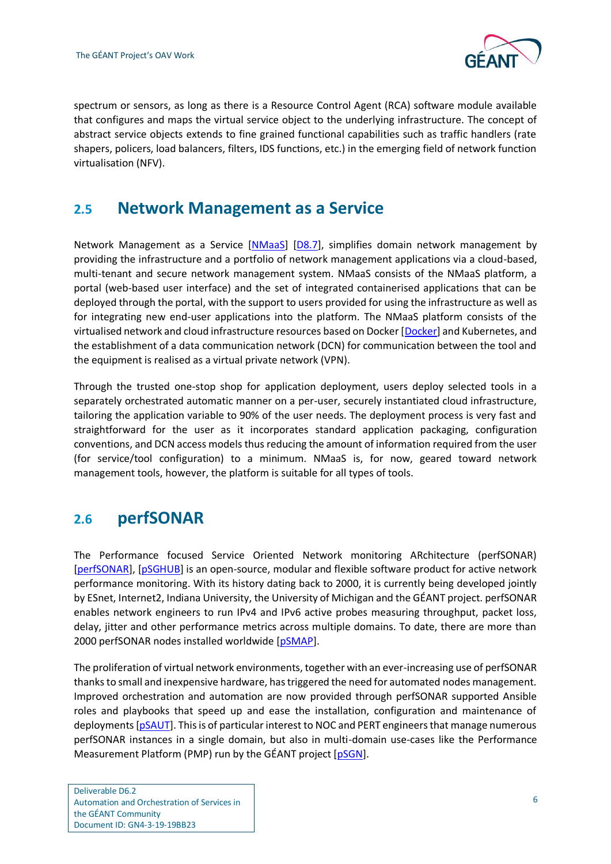

spectrum or sensors, as long as there is a Resource Control Agent (RCA) software module available that configures and maps the virtual service object to the underlying infrastructure. The concept of abstract service objects extends to fine grained functional capabilities such as traffic handlers (rate shapers, policers, load balancers, filters, IDS functions, etc.) in the emerging field of network function virtualisation (NFV).

### <span id="page-9-0"></span>**2.5 Network Management as a Service**

Network Management as a Service [\[NMaaS\]](#page-49-2) [\[D8.7\]](#page-48-8), simplifies domain network management by providing the infrastructure and a portfolio of network management applications via a cloud-based, multi-tenant and secure network management system. NMaaS consists of the NMaaS platform, a portal (web-based user interface) and the set of integrated containerised applications that can be deployed through the portal, with the support to users provided for using the infrastructure as well as for integrating new end-user applications into the platform. The NMaaS platform consists of the virtualised network and cloud infrastructure resources based on Docker [\[Docker\]](#page-48-9) and Kubernetes, and the establishment of a data communication network (DCN) for communication between the tool and the equipment is realised as a virtual private network (VPN).

Through the trusted one-stop shop for application deployment, users deploy selected tools in a separately orchestrated automatic manner on a per-user, securely instantiated cloud infrastructure, tailoring the application variable to 90% of the user needs. The deployment process is very fast and straightforward for the user as it incorporates standard application packaging, configuration conventions, and DCN access models thus reducing the amount of information required from the user (for service/tool configuration) to a minimum. NMaaS is, for now, geared toward network management tools, however, the platform is suitable for all types of tools.

### <span id="page-9-1"></span>**2.6 perfSONAR**

The Performance focused Service Oriented Network monitoring ARchitecture (perfSONAR) [\[perfSONAR\]](#page-49-3), [\[pSGHUB\]](#page-49-4) is an open-source, modular and flexible software product for active network performance monitoring. With its history dating back to 2000, it is currently being developed jointly by ESnet, Internet2, Indiana University, the University of Michigan and the GÉANT project. perfSONAR enables network engineers to run IPv4 and IPv6 active probes measuring throughput, packet loss, delay, jitter and other performance metrics across multiple domains. To date, there are more than 2000 perfSONAR nodes installed worldwide [\[pSMAP\]](#page-49-5).

The proliferation of virtual network environments, together with an ever-increasing use of perfSONAR thanks to small and inexpensive hardware, has triggered the need for automated nodes management. Improved orchestration and automation are now provided through perfSONAR supported Ansible roles and playbooks that speed up and ease the installation, configuration and maintenance of deployments [\[pSAUT\]](#page-49-6). This is of particular interest to NOC and PERT engineers that manage numerous perfSONAR instances in a single domain, but also in multi-domain use-cases like the Performance Measurement Platform (PMP) run by the GÉANT project [\[pSGN\]](#page-49-7).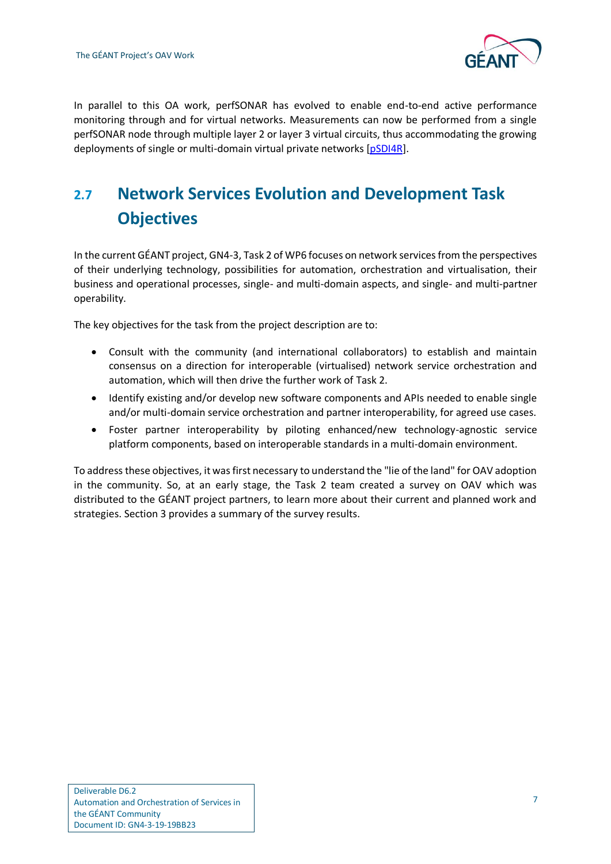

In parallel to this OA work, perfSONAR has evolved to enable end-to-end active performance monitoring through and for virtual networks. Measurements can now be performed from a single perfSONAR node through multiple layer 2 or layer 3 virtual circuits, thus accommodating the growing deployments of single or multi-domain virtual private networks [\[pSDI4R\]](#page-49-8).

## <span id="page-10-0"></span>**2.7 Network Services Evolution and Development Task Objectives**

In the current GÉANT project, GN4-3, Task 2 of WP6 focuses on network services from the perspectives of their underlying technology, possibilities for automation, orchestration and virtualisation, their business and operational processes, single- and multi-domain aspects, and single- and multi-partner operability.

The key objectives for the task from the project description are to:

- Consult with the community (and international collaborators) to establish and maintain consensus on a direction for interoperable (virtualised) network service orchestration and automation, which will then drive the further work of Task 2.
- Identify existing and/or develop new software components and APIs needed to enable single and/or multi-domain service orchestration and partner interoperability, for agreed use cases.
- Foster partner interoperability by piloting enhanced/new technology-agnostic service platform components, based on interoperable standards in a multi-domain environment.

To address these objectives, it was first necessary to understand the "lie of the land" for OAV adoption in the community. So, at an early stage, the Task 2 team created a survey on OAV which was distributed to the GÉANT project partners, to learn more about their current and planned work and strategies. Section 3 provides a summary of the survey results.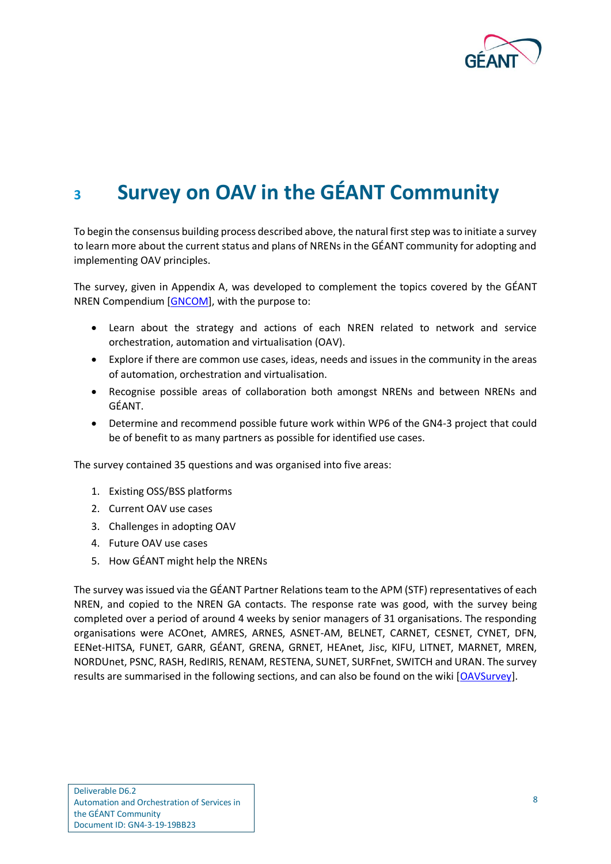

# <span id="page-11-0"></span>**<sup>3</sup> Survey on OAV in the GÉANT Community**

To begin the consensus building process described above, the natural first step was to initiate a survey to learn more about the current status and plans of NRENs in the GÉANT community for adopting and implementing OAV principles.

The survey, given in Appendix A, was developed to complement the topics covered by the GÉANT NREN Compendium [\[GNCOM\]](#page-48-10), with the purpose to:

- Learn about the strategy and actions of each NREN related to network and service orchestration, automation and virtualisation (OAV).
- Explore if there are common use cases, ideas, needs and issues in the community in the areas of automation, orchestration and virtualisation.
- Recognise possible areas of collaboration both amongst NRENs and between NRENs and GÉANT.
- Determine and recommend possible future work within WP6 of the GN4-3 project that could be of benefit to as many partners as possible for identified use cases.

The survey contained 35 questions and was organised into five areas:

- 1. Existing OSS/BSS platforms
- 2. Current OAV use cases
- 3. Challenges in adopting OAV
- 4. Future OAV use cases
- 5. How GÉANT might help the NRENs

The survey was issued via the GÉANT Partner Relations team to the APM (STF) representatives of each NREN, and copied to the NREN GA contacts. The response rate was good, with the survey being completed over a period of around 4 weeks by senior managers of 31 organisations. The responding organisations were ACOnet, AMRES, ARNES, ASNET-AM, BELNET, CARNET, CESNET, CYNET, DFN, EENet-HITSA, FUNET, GARR, GÉANT, GRENA, GRNET, HEAnet, Jisc, KIFU, LITNET, MARNET, MREN, NORDUnet, PSNC, RASH, RedIRIS, RENAM, RESTENA, SUNET, SURFnet, SWITCH and URAN. The survey results are summarised in the following sections, and can also be found on the wiki [\[OAVSurvey\]](#page-49-9).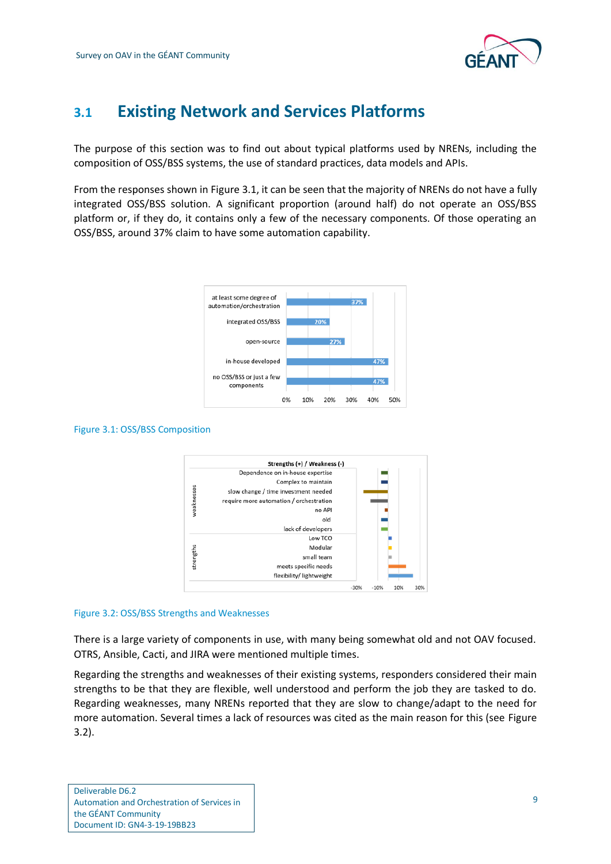

### <span id="page-12-0"></span>**3.1 Existing Network and Services Platforms**

The purpose of this section was to find out about typical platforms used by NRENs, including the composition of OSS/BSS systems, the use of standard practices, data models and APIs.

From the responses shown i[n Figure 3.1,](#page-12-1) it can be seen that the majority of NRENs do not have a fully integrated OSS/BSS solution. A significant proportion (around half) do not operate an OSS/BSS platform or, if they do, it contains only a few of the necessary components. Of those operating an OSS/BSS, around 37% claim to have some automation capability.



#### <span id="page-12-1"></span>Figure 3.1: OSS/BSS Composition



#### <span id="page-12-2"></span>Figure 3.2: OSS/BSS Strengths and Weaknesses

There is a large variety of components in use, with many being somewhat old and not OAV focused. OTRS, Ansible, Cacti, and JIRA were mentioned multiple times.

Regarding the strengths and weaknesses of their existing systems, responders considered their main strengths to be that they are flexible, well understood and perform the job they are tasked to do. Regarding weaknesses, many NRENs reported that they are slow to change/adapt to the need for more automation. Several times a lack of resources was cited as the main reason for this (see [Figure](#page-12-2)  [3.2\)](#page-12-2).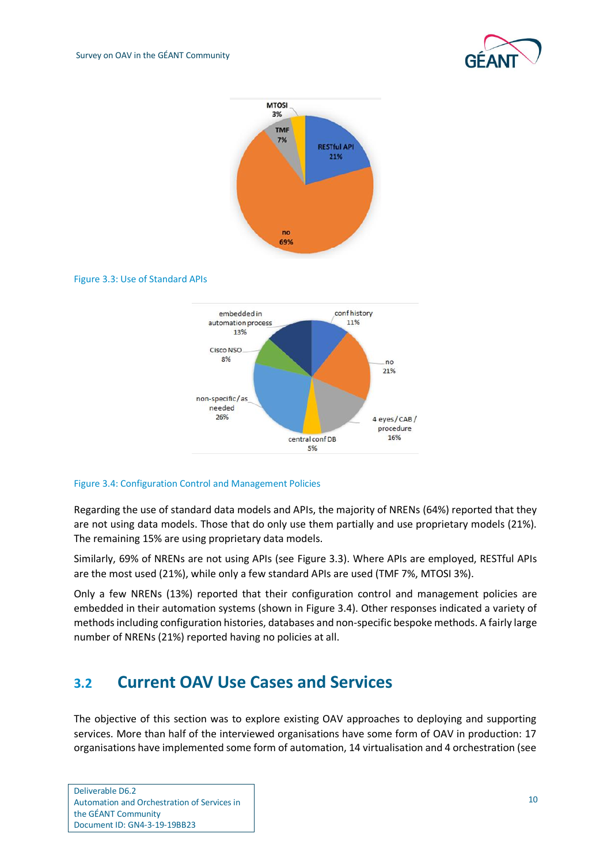



#### <span id="page-13-1"></span>Figure 3.3: Use of Standard APIs



#### <span id="page-13-2"></span>Figure 3.4: Configuration Control and Management Policies

Regarding the use of standard data models and APIs, the majority of NRENs (64%) reported that they are not using data models. Those that do only use them partially and use proprietary models (21%). The remaining 15% are using proprietary data models.

Similarly, 69% of NRENs are not using APIs (see [Figure 3.3\)](#page-13-1). Where APIs are employed, RESTful APIs are the most used (21%), while only a few standard APIs are used (TMF 7%, MTOSI 3%).

Only a few NRENs (13%) reported that their configuration control and management policies are embedded in their automation systems (shown in [Figure 3.4\)](#page-13-2). Other responses indicated a variety of methods including configuration histories, databases and non-specific bespoke methods. A fairly large number of NRENs (21%) reported having no policies at all.

#### <span id="page-13-0"></span>**3.2 Current OAV Use Cases and Services**

The objective of this section was to explore existing OAV approaches to deploying and supporting services. More than half of the interviewed organisations have some form of OAV in production: 17 organisations have implemented some form of automation, 14 virtualisation and 4 orchestration (see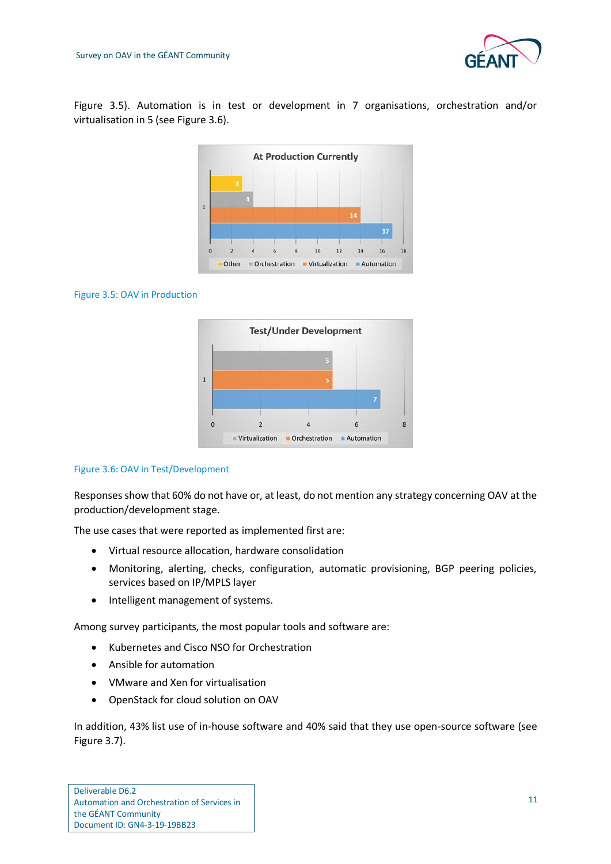

[Figure 3.5\)](#page-14-0). Automation is in test or development in 7 organisations, orchestration and/or virtualisation in 5 (see [Figure 3.6\)](#page-14-1).



#### <span id="page-14-0"></span>Figure 3.5: OAV in Production



#### <span id="page-14-1"></span>Figure 3.6: OAV in Test/Development

Responses show that 60% do not have or, at least, do not mention any strategy concerning OAV at the production/development stage.

The use cases that were reported as implemented first are:

- Virtual resource allocation, hardware consolidation
- Monitoring, alerting, checks, configuration, automatic provisioning, BGP peering policies, services based on IP/MPLS layer
- Intelligent management of systems.

Among survey participants, the most popular tools and software are:

- Kubernetes and Cisco NSO for Orchestration
- Ansible for automation
- VMware and Xen for virtualisation
- OpenStack for cloud solution on OAV

In addition, 43% list use of in-house software and 40% said that they use open-source software (see [Figure 3.7\)](#page-15-0).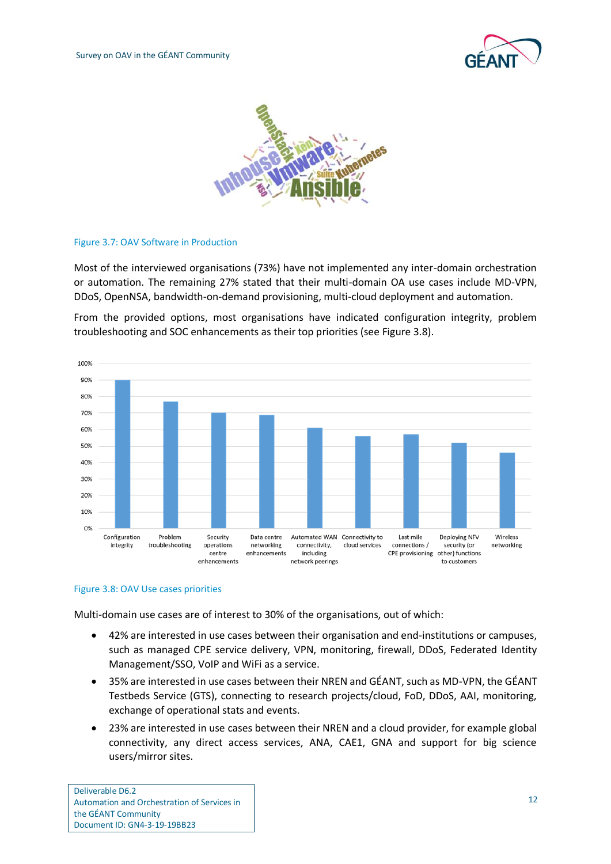



#### <span id="page-15-0"></span>Figure 3.7: OAV Software in Production

Most of the interviewed organisations (73%) have not implemented any inter-domain orchestration or automation. The remaining 27% stated that their multi-domain OA use cases include MD-VPN, DDoS, OpenNSA, bandwidth-on-demand provisioning, multi-cloud deployment and automation.

From the provided options, most organisations have indicated configuration integrity, problem troubleshooting and SOC enhancements as their top priorities (see [Figure 3.8\)](#page-15-1).



#### <span id="page-15-1"></span>Figure 3.8: OAV Use cases priorities

Multi-domain use cases are of interest to 30% of the organisations, out of which:

- 42% are interested in use cases between their organisation and end-institutions or campuses, such as managed CPE service delivery, VPN, monitoring, firewall, DDoS, Federated Identity Management/SSO, VoIP and WiFi as a service.
- 35% are interested in use cases between their NREN and GÉANT, such as MD-VPN, the GÉANT Testbeds Service (GTS), connecting to research projects/cloud, FoD, DDoS, AAI, monitoring, exchange of operational stats and events.
- 23% are interested in use cases between their NREN and a cloud provider, for example global connectivity, any direct access services, ANA, CAE1, GNA and support for big science users/mirror sites.

Deliverable D6.2 Automation and Orchestration of Services in the GÉANT Community Document ID: GN4-3-19-19BB23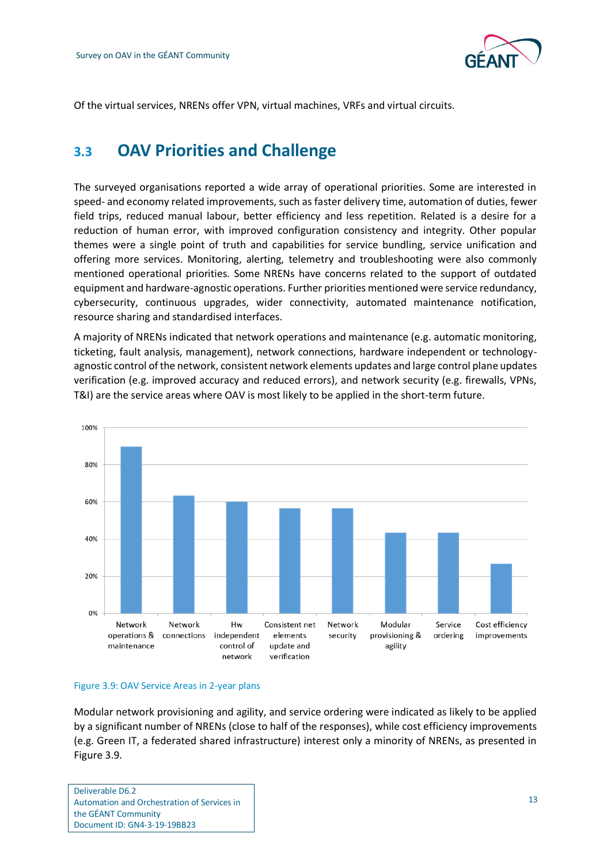

<span id="page-16-0"></span>Of the virtual services, NRENs offer VPN, virtual machines, VRFs and virtual circuits.

### **3.3 OAV Priorities and Challenge**

The surveyed organisations reported a wide array of operational priorities. Some are interested in speed- and economy related improvements, such as faster delivery time, automation of duties, fewer field trips, reduced manual labour, better efficiency and less repetition. Related is a desire for a reduction of human error, with improved configuration consistency and integrity. Other popular themes were a single point of truth and capabilities for service bundling, service unification and offering more services. Monitoring, alerting, telemetry and troubleshooting were also commonly mentioned operational priorities. Some NRENs have concerns related to the support of outdated equipment and hardware-agnostic operations. Further priorities mentioned were service redundancy, cybersecurity, continuous upgrades, wider connectivity, automated maintenance notification, resource sharing and standardised interfaces.

A majority of NRENs indicated that network operations and maintenance (e.g. automatic monitoring, ticketing, fault analysis, management), network connections, hardware independent or technologyagnostic control of the network, consistent network elements updates and large control plane updates verification (e.g. improved accuracy and reduced errors), and network security (e.g. firewalls, VPNs, T&I) are the service areas where OAV is most likely to be applied in the short-term future.



#### <span id="page-16-1"></span>Figure 3.9: OAV Service Areas in 2-year plans

Modular network provisioning and agility, and service ordering were indicated as likely to be applied by a significant number of NRENs (close to half of the responses), while cost efficiency improvements (e.g. Green IT, a federated shared infrastructure) interest only a minority of NRENs, as presented in [Figure 3.9.](#page-16-1)

Deliverable D6.2 Automation and Orchestration of Services in the GÉANT Community Document ID: GN4-3-19-19BB23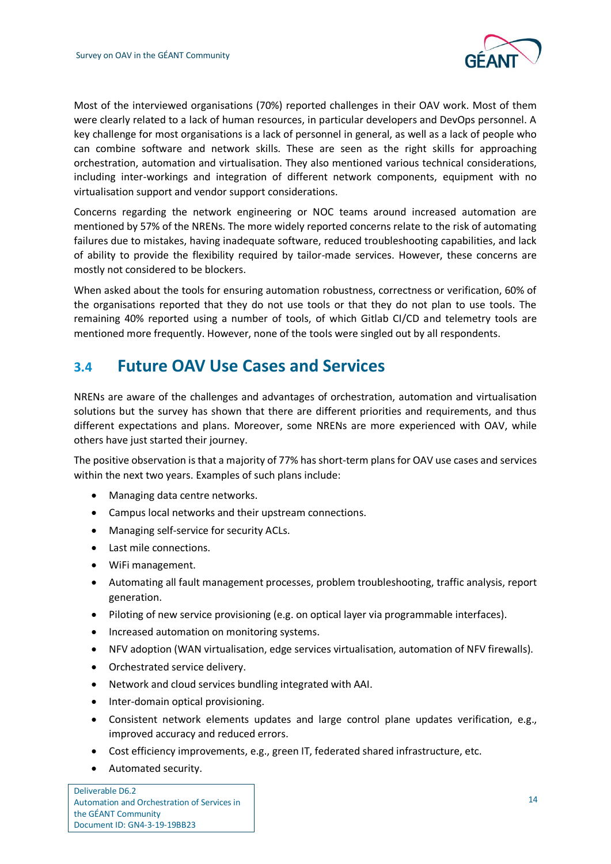

Most of the interviewed organisations (70%) reported challenges in their OAV work. Most of them were clearly related to a lack of human resources, in particular developers and DevOps personnel. A key challenge for most organisations is a lack of personnel in general, as well as a lack of people who can combine software and network skills. These are seen as the right skills for approaching orchestration, automation and virtualisation. They also mentioned various technical considerations, including inter-workings and integration of different network components, equipment with no virtualisation support and vendor support considerations.

Concerns regarding the network engineering or NOC teams around increased automation are mentioned by 57% of the NRENs. The more widely reported concerns relate to the risk of automating failures due to mistakes, having inadequate software, reduced troubleshooting capabilities, and lack of ability to provide the flexibility required by tailor-made services. However, these concerns are mostly not considered to be blockers.

When asked about the tools for ensuring automation robustness, correctness or verification, 60% of the organisations reported that they do not use tools or that they do not plan to use tools. The remaining 40% reported using a number of tools, of which Gitlab CI/CD and telemetry tools are mentioned more frequently. However, none of the tools were singled out by all respondents.

### <span id="page-17-0"></span>**3.4 Future OAV Use Cases and Services**

NRENs are aware of the challenges and advantages of orchestration, automation and virtualisation solutions but the survey has shown that there are different priorities and requirements, and thus different expectations and plans. Moreover, some NRENs are more experienced with OAV, while others have just started their journey.

The positive observation is that a majority of 77% has short-term plans for OAV use cases and services within the next two years. Examples of such plans include:

- Managing data centre networks.
- Campus local networks and their upstream connections.
- Managing self-service for security ACLs.
- Last mile connections.
- WiFi management.
- Automating all fault management processes, problem troubleshooting, traffic analysis, report generation.
- Piloting of new service provisioning (e.g. on optical layer via programmable interfaces).
- Increased automation on monitoring systems.
- NFV adoption (WAN virtualisation, edge services virtualisation, automation of NFV firewalls).
- Orchestrated service delivery.
- Network and cloud services bundling integrated with AAI.
- Inter-domain optical provisioning.
- Consistent network elements updates and large control plane updates verification, e.g., improved accuracy and reduced errors.
- Cost efficiency improvements, e.g., green IT, federated shared infrastructure, etc.
- Automated security.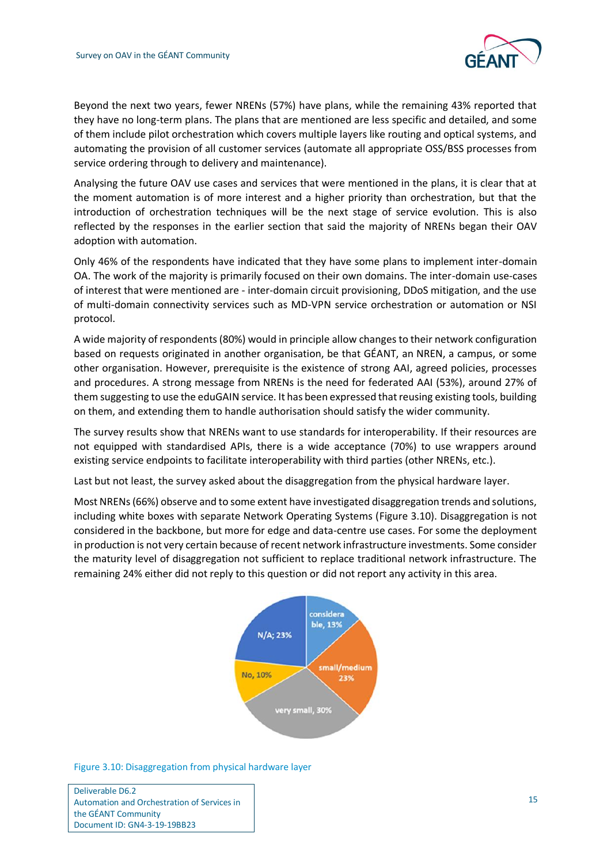

Beyond the next two years, fewer NRENs (57%) have plans, while the remaining 43% reported that they have no long-term plans. The plans that are mentioned are less specific and detailed, and some of them include pilot orchestration which covers multiple layers like routing and optical systems, and automating the provision of all customer services (automate all appropriate OSS/BSS processes from service ordering through to delivery and maintenance).

Analysing the future OAV use cases and services that were mentioned in the plans, it is clear that at the moment automation is of more interest and a higher priority than orchestration, but that the introduction of orchestration techniques will be the next stage of service evolution. This is also reflected by the responses in the earlier section that said the majority of NRENs began their OAV adoption with automation.

Only 46% of the respondents have indicated that they have some plans to implement inter-domain OA. The work of the majority is primarily focused on their own domains. The inter-domain use-cases of interest that were mentioned are - inter-domain circuit provisioning, DDoS mitigation, and the use of multi-domain connectivity services such as MD-VPN service orchestration or automation or NSI protocol.

A wide majority of respondents (80%) would in principle allow changes to their network configuration based on requests originated in another organisation, be that GÉANT, an NREN, a campus, or some other organisation. However, prerequisite is the existence of strong AAI, agreed policies, processes and procedures. A strong message from NRENs is the need for federated AAI (53%), around 27% of them suggesting to use the eduGAIN service. It has been expressed that reusing existing tools, building on them, and extending them to handle authorisation should satisfy the wider community.

The survey results show that NRENs want to use standards for interoperability. If their resources are not equipped with standardised APIs, there is a wide acceptance (70%) to use wrappers around existing service endpoints to facilitate interoperability with third parties (other NRENs, etc.).

Last but not least, the survey asked about the disaggregation from the physical hardware layer.

Most NRENs (66%) observe and to some extent have investigated disaggregation trends and solutions, including white boxes with separate Network Operating Systems [\(Figure 3.10\)](#page-18-0). Disaggregation is not considered in the backbone, but more for edge and data-centre use cases. For some the deployment in production is not very certain because of recent network infrastructure investments. Some consider the maturity level of disaggregation not sufficient to replace traditional network infrastructure. The remaining 24% either did not reply to this question or did not report any activity in this area.



<span id="page-18-0"></span>Figure 3.10: Disaggregation from physical hardware layer

Deliverable D6.2 Automation and Orchestration of Services in the GÉANT Community Document ID: GN4-3-19-19BB23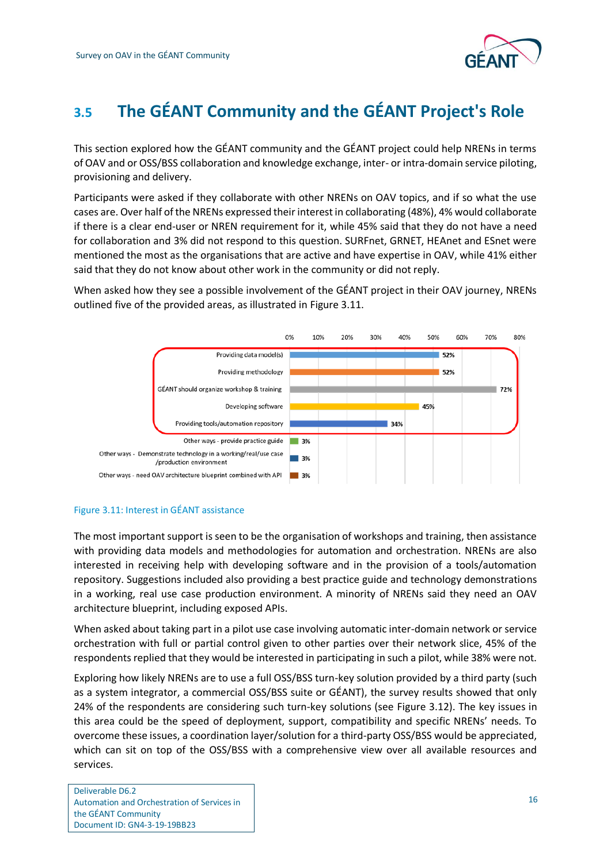

## <span id="page-19-0"></span>**3.5 The GÉANT Community and the GÉANT Project's Role**

This section explored how the GÉANT community and the GÉANT project could help NRENs in terms of OAV and or OSS/BSS collaboration and knowledge exchange, inter- or intra-domain service piloting, provisioning and delivery.

Participants were asked if they collaborate with other NRENs on OAV topics, and if so what the use cases are. Over half of the NRENs expressed their interest in collaborating (48%), 4% would collaborate if there is a clear end-user or NREN requirement for it, while 45% said that they do not have a need for collaboration and 3% did not respond to this question. SURFnet, GRNET, HEAnet and ESnet were mentioned the most as the organisations that are active and have expertise in OAV, while 41% either said that they do not know about other work in the community or did not reply.

When asked how they see a possible involvement of the GÉANT project in their OAV journey, NRENs outlined five of the provided areas, as illustrated in [Figure 3.11.](#page-19-1)



#### <span id="page-19-1"></span>Figure 3.11: Interest in GÉANT assistance

The most important support is seen to be the organisation of workshops and training, then assistance with providing data models and methodologies for automation and orchestration. NRENs are also interested in receiving help with developing software and in the provision of a tools/automation repository. Suggestions included also providing a best practice guide and technology demonstrations in a working, real use case production environment. A minority of NRENs said they need an OAV architecture blueprint, including exposed APIs.

When asked about taking part in a pilot use case involving automatic inter-domain network or service orchestration with full or partial control given to other parties over their network slice, 45% of the respondents replied that they would be interested in participating in such a pilot, while 38% were not.

Exploring how likely NRENs are to use a full OSS/BSS turn-key solution provided by a third party (such as a system integrator, a commercial OSS/BSS suite or GÉANT), the survey results showed that only 24% of the respondents are considering such turn-key solutions (see [Figure 3.12\)](#page-20-1). The key issues in this area could be the speed of deployment, support, compatibility and specific NRENs' needs. To overcome these issues, a coordination layer/solution for a third-party OSS/BSS would be appreciated, which can sit on top of the OSS/BSS with a comprehensive view over all available resources and services.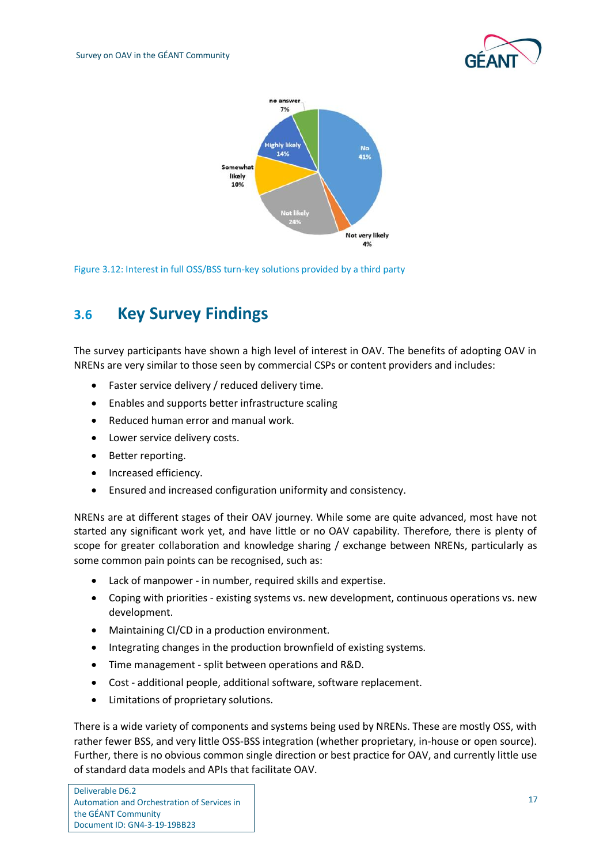



<span id="page-20-1"></span>Figure 3.12: Interest in full OSS/BSS turn-key solutions provided by a third party

### <span id="page-20-0"></span>**3.6 Key Survey Findings**

The survey participants have shown a high level of interest in OAV. The benefits of adopting OAV in NRENs are very similar to those seen by commercial CSPs or content providers and includes:

- Faster service delivery / reduced delivery time.
- Enables and supports better infrastructure scaling
- Reduced human error and manual work.
- Lower service delivery costs.
- Better reporting.
- Increased efficiency.
- Ensured and increased configuration uniformity and consistency.

NRENs are at different stages of their OAV journey. While some are quite advanced, most have not started any significant work yet, and have little or no OAV capability. Therefore, there is plenty of scope for greater collaboration and knowledge sharing / exchange between NRENs, particularly as some common pain points can be recognised, such as:

- Lack of manpower in number, required skills and expertise.
- Coping with priorities existing systems vs. new development, continuous operations vs. new development.
- Maintaining CI/CD in a production environment.
- Integrating changes in the production brownfield of existing systems.
- Time management split between operations and R&D.
- Cost additional people, additional software, software replacement.
- Limitations of proprietary solutions.

There is a wide variety of components and systems being used by NRENs. These are mostly OSS, with rather fewer BSS, and very little OSS-BSS integration (whether proprietary, in-house or open source). Further, there is no obvious common single direction or best practice for OAV, and currently little use of standard data models and APIs that facilitate OAV.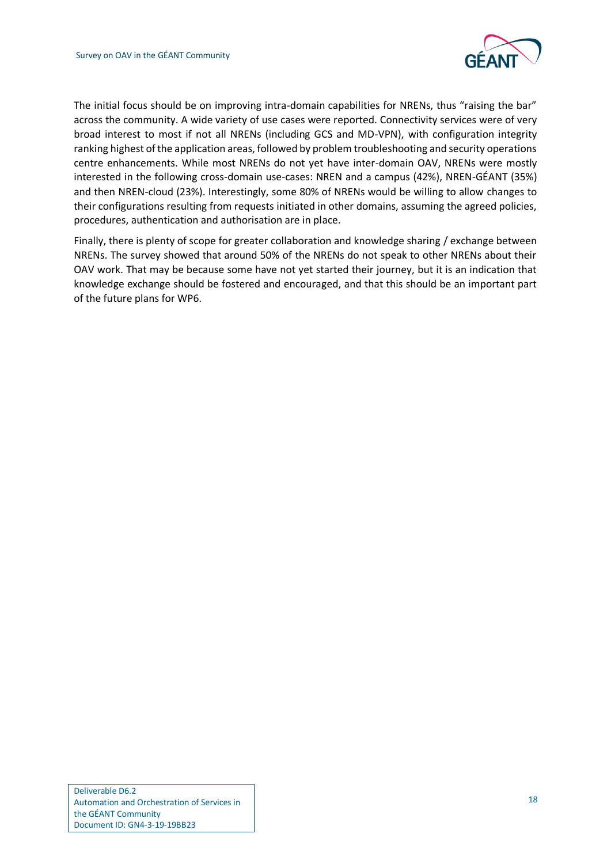

The initial focus should be on improving intra-domain capabilities for NRENs, thus "raising the bar" across the community. A wide variety of use cases were reported. Connectivity services were of very broad interest to most if not all NRENs (including GCS and MD-VPN), with configuration integrity ranking highest of the application areas, followed by problem troubleshooting and security operations centre enhancements. While most NRENs do not yet have inter-domain OAV, NRENs were mostly interested in the following cross-domain use-cases: NREN and a campus (42%), NREN-GÉANT (35%) and then NREN-cloud (23%). Interestingly, some 80% of NRENs would be willing to allow changes to their configurations resulting from requests initiated in other domains, assuming the agreed policies, procedures, authentication and authorisation are in place.

Finally, there is plenty of scope for greater collaboration and knowledge sharing / exchange between NRENs. The survey showed that around 50% of the NRENs do not speak to other NRENs about their OAV work. That may be because some have not yet started their journey, but it is an indication that knowledge exchange should be fostered and encouraged, and that this should be an important part of the future plans for WP6.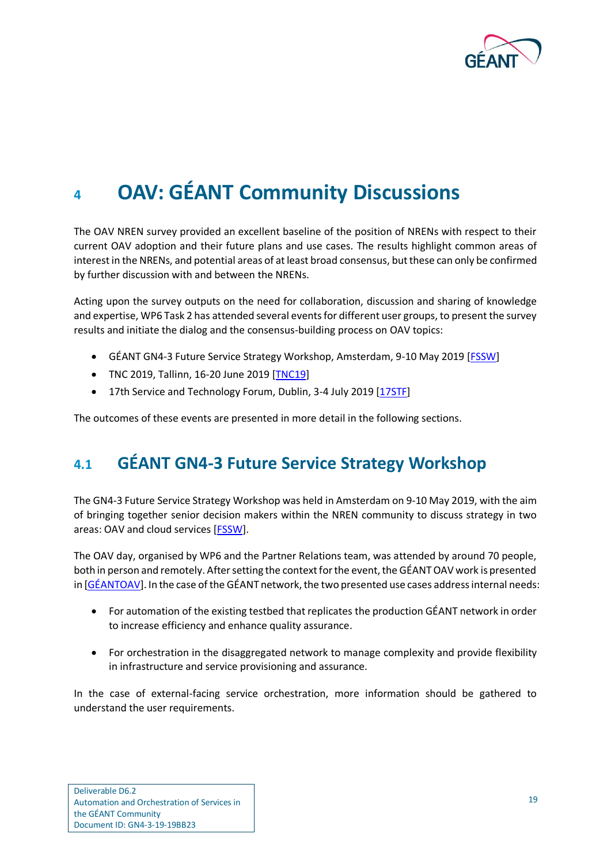

# <span id="page-22-0"></span>**<sup>4</sup> OAV: GÉANT Community Discussions**

The OAV NREN survey provided an excellent baseline of the position of NRENs with respect to their current OAV adoption and their future plans and use cases. The results highlight common areas of interest in the NRENs, and potential areas of at least broad consensus, but these can only be confirmed by further discussion with and between the NRENs.

Acting upon the survey outputs on the need for collaboration, discussion and sharing of knowledge and expertise, WP6 Task 2 has attended several events for different user groups, to present the survey results and initiate the dialog and the consensus-building process on OAV topics:

- GÉANT GN4-3 Future Service Strategy Workshop, Amsterdam, 9-10 May 2019 [\[FSSW\]](#page-48-11)
- TNC 2019, Tallinn, 16-20 June 2019 [\[TNC19\]](#page-50-3)
- 17th Service and Technology Forum, Dublin, 3-4 July 2019 [\[17STF\]](#page-47-3)

The outcomes of these events are presented in more detail in the following sections.

### <span id="page-22-1"></span>**4.1 GÉANT GN4-3 Future Service Strategy Workshop**

The GN4-3 Future Service Strategy Workshop was held in Amsterdam on 9-10 May 2019, with the aim of bringing together senior decision makers within the NREN community to discuss strategy in two areas: OAV and cloud services [\[FSSW\]](#page-48-11).

The OAV day, organised by WP6 and the Partner Relations team, was attended by around 70 people, both in person and remotely. After setting the context for the event, the GÉANT OAV work is presented in [\[GÉANTOAV\]](#page-48-12). In the case of the GÉANT network, the two presented use cases address internal needs:

- For automation of the existing testbed that replicates the production GÉANT network in order to increase efficiency and enhance quality assurance.
- For orchestration in the disaggregated network to manage complexity and provide flexibility in infrastructure and service provisioning and assurance.

In the case of external-facing service orchestration, more information should be gathered to understand the user requirements.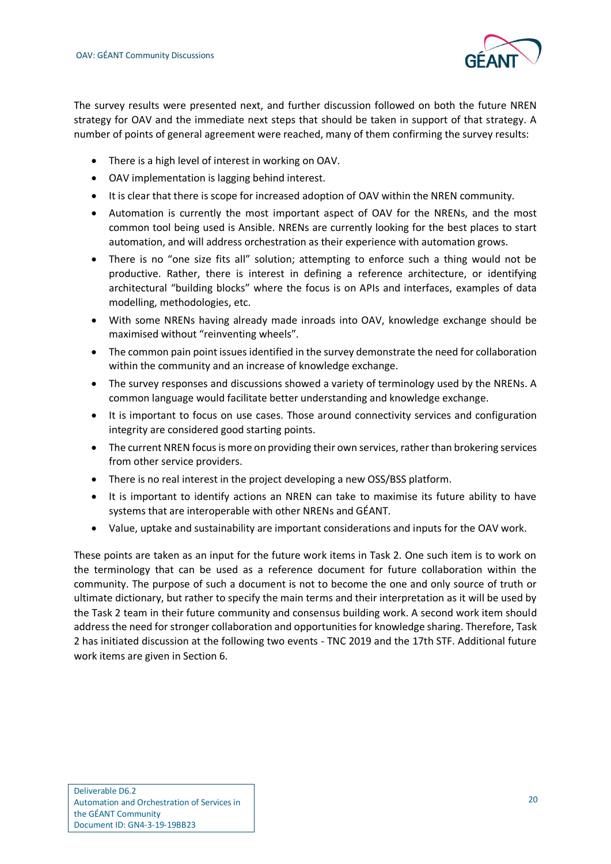

The survey results were presented next, and further discussion followed on both the future NREN strategy for OAV and the immediate next steps that should be taken in support of that strategy. A number of points of general agreement were reached, many of them confirming the survey results:

- There is a high level of interest in working on OAV.
- OAV implementation is lagging behind interest.
- It is clear that there is scope for increased adoption of OAV within the NREN community.
- Automation is currently the most important aspect of OAV for the NRENs, and the most common tool being used is Ansible. NRENs are currently looking for the best places to start automation, and will address orchestration as their experience with automation grows.
- There is no "one size fits all" solution; attempting to enforce such a thing would not be productive. Rather, there is interest in defining a reference architecture, or identifying architectural "building blocks" where the focus is on APIs and interfaces, examples of data modelling, methodologies, etc.
- With some NRENs having already made inroads into OAV, knowledge exchange should be maximised without "reinventing wheels".
- The common pain point issues identified in the survey demonstrate the need for collaboration within the community and an increase of knowledge exchange.
- The survey responses and discussions showed a variety of terminology used by the NRENs. A common language would facilitate better understanding and knowledge exchange.
- It is important to focus on use cases. Those around connectivity services and configuration integrity are considered good starting points.
- The current NREN focus is more on providing their own services, rather than brokering services from other service providers.
- There is no real interest in the project developing a new OSS/BSS platform.
- It is important to identify actions an NREN can take to maximise its future ability to have systems that are interoperable with other NRENs and GÉANT.
- Value, uptake and sustainability are important considerations and inputs for the OAV work.

<span id="page-23-0"></span>These points are taken as an input for the future work items in Task 2. One such item is to work on the terminology that can be used as a reference document for future collaboration within the community. The purpose of such a document is not to become the one and only source of truth or ultimate dictionary, but rather to specify the main terms and their interpretation as it will be used by the Task 2 team in their future community and consensus building work. A second work item should address the need for stronger collaboration and opportunities for knowledge sharing. Therefore, Task 2 has initiated discussion at the following two events - TNC 2019 and the 17th STF. Additional future work items are given in Section 6.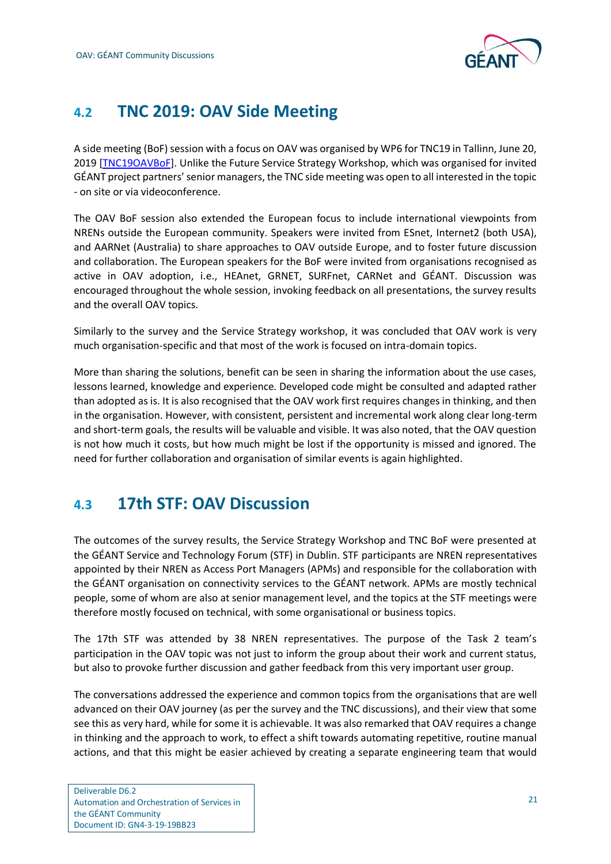

### **4.2 TNC 2019: OAV Side Meeting**

A side meeting (BoF) session with a focus on OAV was organised by WP6 for TNC19 in Tallinn, June 20, 2019 [\[TNC19OAVBoF\]](#page-50-4). Unlike the Future Service Strategy Workshop, which was organised for invited GÉANT project partners' senior managers, the TNC side meeting was open to all interested in the topic - on site or via videoconference.

The OAV BoF session also extended the European focus to include international viewpoints from NRENs outside the European community. Speakers were invited from ESnet, Internet2 (both USA), and AARNet (Australia) to share approaches to OAV outside Europe, and to foster future discussion and collaboration. The European speakers for the BoF were invited from organisations recognised as active in OAV adoption, i.e., HEAnet, GRNET, SURFnet, CARNet and GÉANT. Discussion was encouraged throughout the whole session, invoking feedback on all presentations, the survey results and the overall OAV topics.

Similarly to the survey and the Service Strategy workshop, it was concluded that OAV work is very much organisation-specific and that most of the work is focused on intra-domain topics.

More than sharing the solutions, benefit can be seen in sharing the information about the use cases, lessons learned, knowledge and experience. Developed code might be consulted and adapted rather than adopted as is. It is also recognised that the OAV work first requires changes in thinking, and then in the organisation. However, with consistent, persistent and incremental work along clear long-term and short-term goals, the results will be valuable and visible. It was also noted, that the OAV question is not how much it costs, but how much might be lost if the opportunity is missed and ignored. The need for further collaboration and organisation of similar events is again highlighted.

### <span id="page-24-0"></span>**4.3 17th STF: OAV Discussion**

The outcomes of the survey results, the Service Strategy Workshop and TNC BoF were presented at the GÉANT Service and Technology Forum (STF) in Dublin. STF participants are NREN representatives appointed by their NREN as Access Port Managers (APMs) and responsible for the collaboration with the GÉANT organisation on connectivity services to the GÉANT network. APMs are mostly technical people, some of whom are also at senior management level, and the topics at the STF meetings were therefore mostly focused on technical, with some organisational or business topics.

The 17th STF was attended by 38 NREN representatives. The purpose of the Task 2 team's participation in the OAV topic was not just to inform the group about their work and current status, but also to provoke further discussion and gather feedback from this very important user group.

The conversations addressed the experience and common topics from the organisations that are well advanced on their OAV journey (as per the survey and the TNC discussions), and their view that some see this as very hard, while for some it is achievable. It was also remarked that OAV requires a change in thinking and the approach to work, to effect a shift towards automating repetitive, routine manual actions, and that this might be easier achieved by creating a separate engineering team that would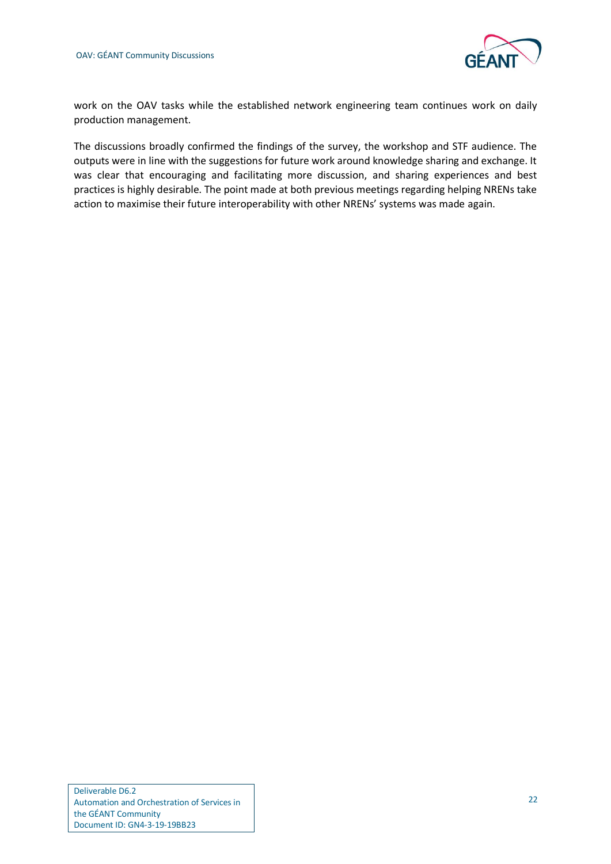

work on the OAV tasks while the established network engineering team continues work on daily production management.

The discussions broadly confirmed the findings of the survey, the workshop and STF audience. The outputs were in line with the suggestions for future work around knowledge sharing and exchange. It was clear that encouraging and facilitating more discussion, and sharing experiences and best practices is highly desirable. The point made at both previous meetings regarding helping NRENs take action to maximise their future interoperability with other NRENs' systems was made again.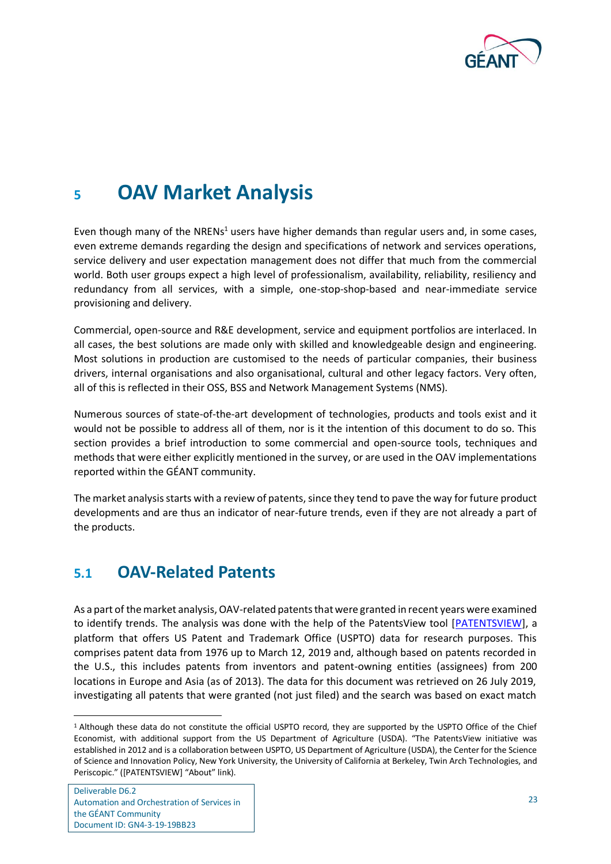

## <span id="page-26-0"></span>**<sup>5</sup> OAV Market Analysis**

Even though many of the NRENs<sup>1</sup> users have higher demands than regular users and, in some cases, even extreme demands regarding the design and specifications of network and services operations, service delivery and user expectation management does not differ that much from the commercial world. Both user groups expect a high level of professionalism, availability, reliability, resiliency and redundancy from all services, with a simple, one-stop-shop-based and near-immediate service provisioning and delivery.

Commercial, open-source and R&E development, service and equipment portfolios are interlaced. In all cases, the best solutions are made only with skilled and knowledgeable design and engineering. Most solutions in production are customised to the needs of particular companies, their business drivers, internal organisations and also organisational, cultural and other legacy factors. Very often, all of this is reflected in their OSS, BSS and Network Management Systems (NMS).

Numerous sources of state-of-the-art development of technologies, products and tools exist and it would not be possible to address all of them, nor is it the intention of this document to do so. This section provides a brief introduction to some commercial and open-source tools, techniques and methods that were either explicitly mentioned in the survey, or are used in the OAV implementations reported within the GÉANT community.

The market analysis starts with a review of patents, since they tend to pave the way for future product developments and are thus an indicator of near-future trends, even if they are not already a part of the products.

### <span id="page-26-1"></span>**5.1 OAV-Related Patents**

As a part of the market analysis, OAV-related patents that were granted in recent years were examined to identify trends. The analysis was done with the help of the PatentsView tool [\[PATENTSVIEW\]](#page-49-10), a platform that offers US Patent and Trademark Office (USPTO) data for research purposes. This comprises patent data from 1976 up to March 12, 2019 and, although based on patents recorded in the U.S., this includes patents from inventors and patent-owning entities (assignees) from 200 locations in Europe and Asia (as of 2013). The data for this document was retrieved on 26 July 2019, investigating all patents that were granted (not just filed) and the search was based on exact match

<sup>1</sup> Although these data do not constitute the official USPTO record, they are supported by the USPTO Office of the Chief Economist, with additional support from the US Department of Agriculture (USDA). "The PatentsView initiative was established in 2012 and is a collaboration between USPTO, US Department of Agriculture (USDA), the Center for the Science of Science and Innovation Policy, New York University, the University of California at Berkeley, Twin Arch Technologies, and Periscopic." ([PATENTSVIEW] "About" link).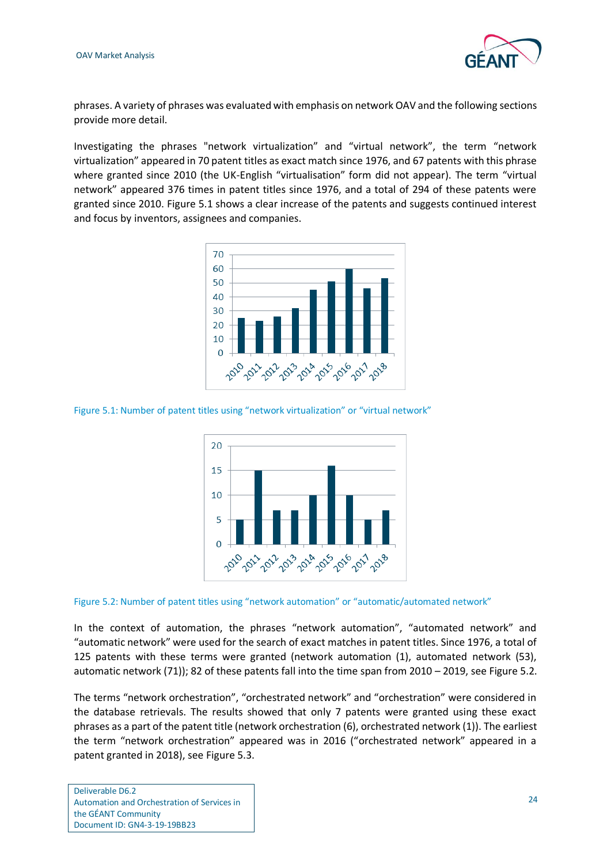

phrases. A variety of phrases was evaluated with emphasis on network OAV and the following sections provide more detail.

Investigating the phrases "network virtualization" and "virtual network", the term "network virtualization" appeared in 70 patent titles as exact match since 1976, and 67 patents with this phrase where granted since 2010 (the UK-English "virtualisation" form did not appear). The term "virtual network" appeared 376 times in patent titles since 1976, and a total of 294 of these patents were granted since 2010. [Figure 5.1](#page-27-0) shows a clear increase of the patents and suggests continued interest and focus by inventors, assignees and companies.



<span id="page-27-0"></span>Figure 5.1: Number of patent titles using "network virtualization" or "virtual network"



<span id="page-27-1"></span>Figure 5.2: Number of patent titles using "network automation" or "automatic/automated network"

In the context of automation, the phrases "network automation", "automated network" and "automatic network" were used for the search of exact matches in patent titles. Since 1976, a total of 125 patents with these terms were granted (network automation (1), automated network (53), automatic network (71)); 82 of these patents fall into the time span from 2010 – 2019, se[e Figure 5.2.](#page-27-1)

The terms "network orchestration", "orchestrated network" and "orchestration" were considered in the database retrievals. The results showed that only 7 patents were granted using these exact phrases as a part of the patent title (network orchestration (6), orchestrated network (1)). The earliest the term "network orchestration" appeared was in 2016 ("orchestrated network" appeared in a patent granted in 2018), see [Figure 5.3.](#page-28-0)

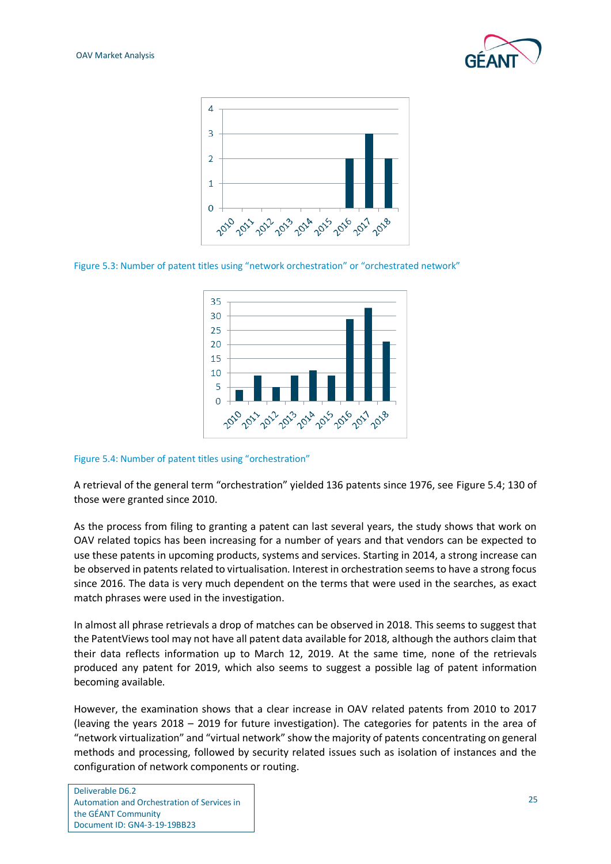



<span id="page-28-0"></span>Figure 5.3: Number of patent titles using "network orchestration" or "orchestrated network"



<span id="page-28-1"></span>Figure 5.4: Number of patent titles using "orchestration"

A retrieval of the general term "orchestration" yielded 136 patents since 1976, see [Figure 5.4;](#page-28-1) 130 of those were granted since 2010.

As the process from filing to granting a patent can last several years, the study shows that work on OAV related topics has been increasing for a number of years and that vendors can be expected to use these patents in upcoming products, systems and services. Starting in 2014, a strong increase can be observed in patents related to virtualisation. Interest in orchestration seems to have a strong focus since 2016. The data is very much dependent on the terms that were used in the searches, as exact match phrases were used in the investigation.

In almost all phrase retrievals a drop of matches can be observed in 2018. This seems to suggest that the PatentViews tool may not have all patent data available for 2018, although the authors claim that their data reflects information up to March 12, 2019. At the same time, none of the retrievals produced any patent for 2019, which also seems to suggest a possible lag of patent information becoming available.

However, the examination shows that a clear increase in OAV related patents from 2010 to 2017 (leaving the years 2018 – 2019 for future investigation). The categories for patents in the area of "network virtualization" and "virtual network" show the majority of patents concentrating on general methods and processing, followed by security related issues such as isolation of instances and the configuration of network components or routing.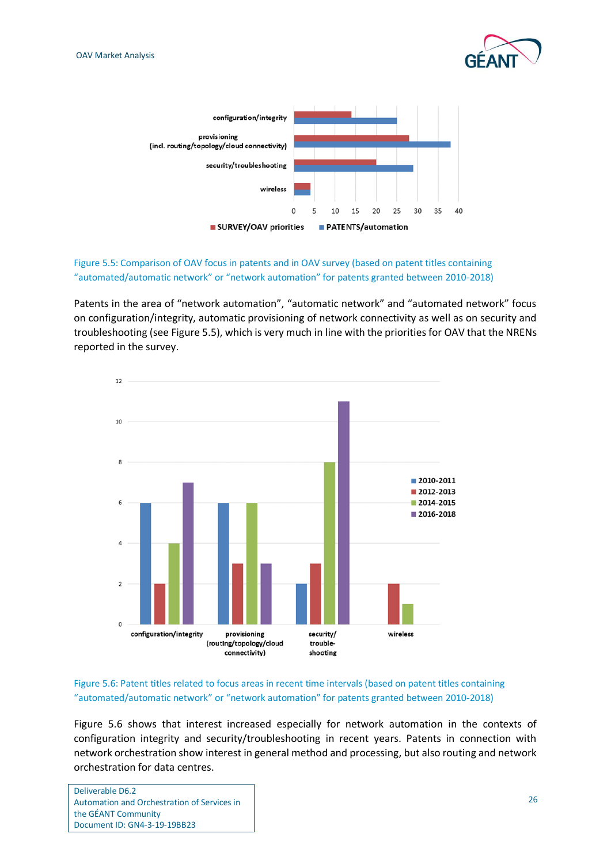



#### <span id="page-29-0"></span>Figure 5.5: Comparison of OAV focus in patents and in OAV survey (based on patent titles containing "automated/automatic network" or "network automation" for patents granted between 2010-2018)

Patents in the area of "network automation", "automatic network" and "automated network" focus on configuration/integrity, automatic provisioning of network connectivity as well as on security and troubleshooting (see [Figure 5.5\)](#page-29-0), which is very much in line with the priorities for OAV that the NRENs reported in the survey.



#### <span id="page-29-1"></span>Figure 5.6: Patent titles related to focus areas in recent time intervals (based on patent titles containing "automated/automatic network" or "network automation" for patents granted between 2010-2018)

[Figure 5.6](#page-29-1) shows that interest increased especially for network automation in the contexts of configuration integrity and security/troubleshooting in recent years. Patents in connection with network orchestration show interest in general method and processing, but also routing and network orchestration for data centres.

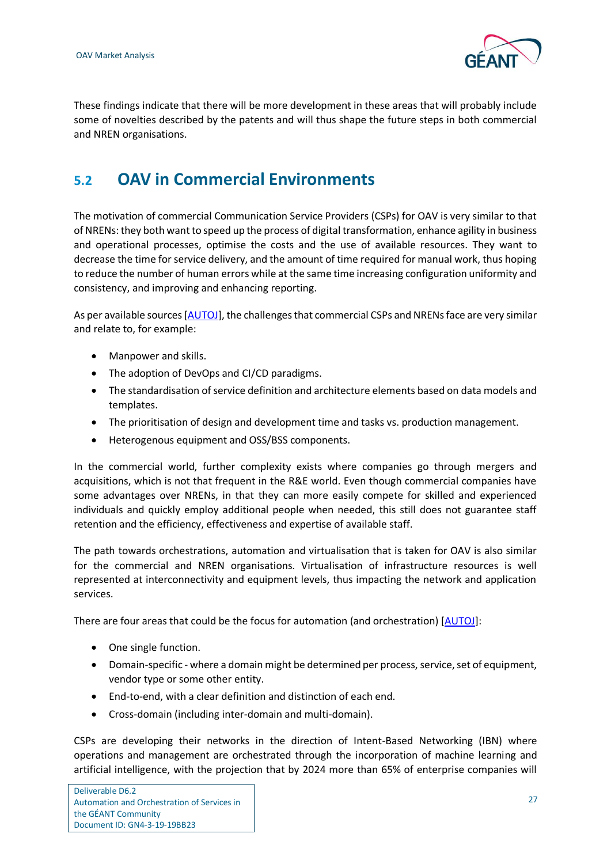

These findings indicate that there will be more development in these areas that will probably include some of novelties described by the patents and will thus shape the future steps in both commercial and NREN organisations.

### <span id="page-30-0"></span>**5.2 OAV in Commercial Environments**

The motivation of commercial Communication Service Providers (CSPs) for OAV is very similar to that of NRENs: they both want to speed up the process of digital transformation, enhance agility in business and operational processes, optimise the costs and the use of available resources. They want to decrease the time for service delivery, and the amount of time required for manual work, thus hoping to reduce the number of human errors while at the same time increasing configuration uniformity and consistency, and improving and enhancing reporting.

As per available sources [\[AUTOJ\]](#page-47-4), the challenges that commercial CSPs and NRENs face are very similar and relate to, for example:

- Manpower and skills.
- The adoption of DevOps and CI/CD paradigms.
- The standardisation of service definition and architecture elements based on data models and templates.
- The prioritisation of design and development time and tasks vs. production management.
- Heterogenous equipment and OSS/BSS components.

In the commercial world, further complexity exists where companies go through mergers and acquisitions, which is not that frequent in the R&E world. Even though commercial companies have some advantages over NRENs, in that they can more easily compete for skilled and experienced individuals and quickly employ additional people when needed, this still does not guarantee staff retention and the efficiency, effectiveness and expertise of available staff.

The path towards orchestrations, automation and virtualisation that is taken for OAV is also similar for the commercial and NREN organisations. Virtualisation of infrastructure resources is well represented at interconnectivity and equipment levels, thus impacting the network and application services.

There are four areas that could be the focus for automation (and orchestration) [\[AUTOJ\]](#page-47-4):

- One single function.
- Domain-specific where a domain might be determined per process, service, set of equipment, vendor type or some other entity.
- End-to-end, with a clear definition and distinction of each end.
- Cross-domain (including inter-domain and multi-domain).

CSPs are developing their networks in the direction of Intent-Based Networking (IBN) where operations and management are orchestrated through the incorporation of machine learning and artificial intelligence, with the projection that by 2024 more than 65% of enterprise companies will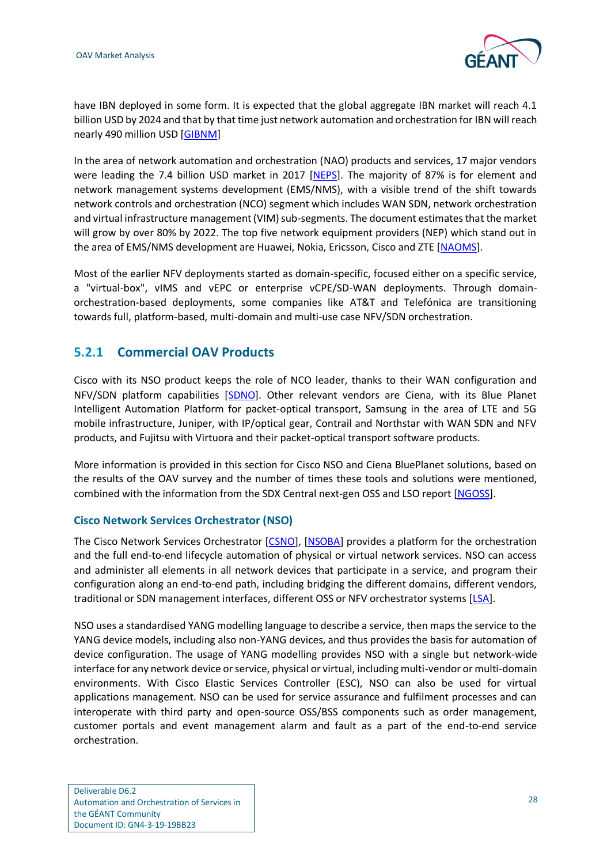

have IBN deployed in some form. It is expected that the global aggregate IBN market will reach 4.1 billion USD by 2024 and that by that time just network automation and orchestration for IBN will reach nearly 490 million USD [\[GIBNM\]](#page-48-13)

In the area of network automation and orchestration (NAO) products and services, 17 major vendors were leading the 7.4 billion USD market in 2017 [\[NEPS\]](#page-49-11). The majority of 87% is for element and network management systems development (EMS/NMS), with a visible trend of the shift towards network controls and orchestration (NCO) segment which includes WAN SDN, network orchestration and virtual infrastructure management (VIM) sub-segments. The document estimates that the market will grow by over 80% by 2022. The top five network equipment providers (NEP) which stand out in the area of EMS/NMS development are Huawei, Nokia, Ericsson, Cisco and ZTE [\[NAOMS\]](#page-49-12).

Most of the earlier NFV deployments started as domain-specific, focused either on a specific service, a "virtual-box", vIMS and vEPC or enterprise vCPE/SD-WAN deployments. Through domainorchestration-based deployments, some companies like AT&T and Telefónica are transitioning towards full, platform-based, multi-domain and multi-use case NFV/SDN orchestration.

#### <span id="page-31-0"></span>**5.2.1 Commercial OAV Products**

Cisco with its NSO product keeps the role of NCO leader, thanks to their WAN configuration and NFV/SDN platform capabilities [\[SDNO\]](#page-49-13). Other relevant vendors are Ciena, with its Blue Planet Intelligent Automation Platform for packet-optical transport, Samsung in the area of LTE and 5G mobile infrastructure, Juniper, with IP/optical gear, Contrail and Northstar with WAN SDN and NFV products, and Fujitsu with Virtuora and their packet-optical transport software products.

More information is provided in this section for Cisco NSO and Ciena BluePlanet solutions, based on the results of the OAV survey and the number of times these tools and solutions were mentioned, combined with the information from the SDX Central next-gen OSS and LSO report [\[NGOSS\]](#page-49-14).

#### **Cisco Network Services Orchestrator (NSO)**

The Cisco Network Services Orchestrator [\[CSNO\]](#page-47-5), [\[NSOBA\]](#page-49-15) provides a platform for the orchestration and the full end-to-end lifecycle automation of physical or virtual network services. NSO can access and administer all elements in all network devices that participate in a service, and program their configuration along an end-to-end path, including bridging the different domains, different vendors, traditional or SDN management interfaces, different OSS or NFV orchestrator systems [\[LSA\]](#page-48-14).

NSO uses a standardised YANG modelling language to describe a service, then maps the service to the YANG device models, including also non-YANG devices, and thus provides the basis for automation of device configuration. The usage of YANG modelling provides NSO with a single but network-wide interface for any network device or service, physical or virtual, including multi-vendor or multi-domain environments. With Cisco Elastic Services Controller (ESC), NSO can also be used for virtual applications management. NSO can be used for service assurance and fulfilment processes and can interoperate with third party and open-source OSS/BSS components such as order management, customer portals and event management alarm and fault as a part of the end-to-end service orchestration.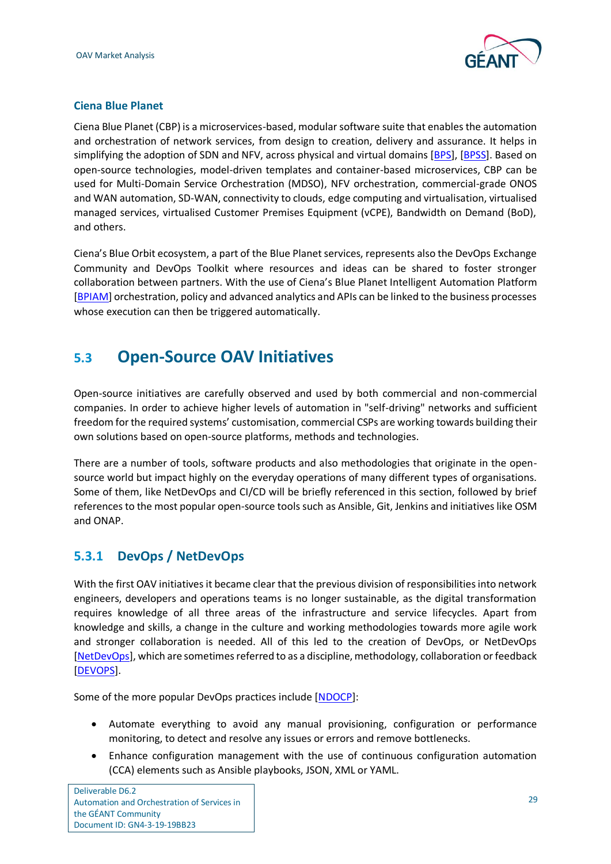

#### **Ciena Blue Planet**

Ciena Blue Planet (CBP) is a microservices-based, modular software suite that enables the automation and orchestration of network services, from design to creation, delivery and assurance. It helps in simplifying the adoption of SDN and NFV, across physical and virtual domains [\[BPS\]](#page-47-6), [\[BPSS\]](#page-47-7). Based on open-source technologies, model-driven templates and container-based microservices, CBP can be used for Multi-Domain Service Orchestration (MDSO), NFV orchestration, commercial-grade ONOS and WAN automation, SD-WAN, connectivity to clouds, edge computing and virtualisation, virtualised managed services, virtualised Customer Premises Equipment (vCPE), Bandwidth on Demand (BoD), and others.

Ciena's Blue Orbit ecosystem, a part of the Blue Planet services, represents also the DevOps Exchange Community and DevOps Toolkit where resources and ideas can be shared to foster stronger collaboration between partners. With the use of Ciena's Blue Planet Intelligent Automation Platform [\[BPIAM\]](#page-47-8) orchestration, policy and advanced analytics and APIs can be linked to the business processes whose execution can then be triggered automatically.

### <span id="page-32-0"></span>**5.3 Open-Source OAV Initiatives**

Open-source initiatives are carefully observed and used by both commercial and non-commercial companies. In order to achieve higher levels of automation in "self-driving" networks and sufficient freedom for the required systems' customisation, commercial CSPs are working towards building their own solutions based on open-source platforms, methods and technologies.

There are a number of tools, software products and also methodologies that originate in the opensource world but impact highly on the everyday operations of many different types of organisations. Some of them, like NetDevOps and CI/CD will be briefly referenced in this section, followed by brief references to the most popular open-source tools such as Ansible, Git, Jenkins and initiatives like OSM and ONAP.

#### <span id="page-32-1"></span>**5.3.1 DevOps / NetDevOps**

With the first OAV initiatives it became clear that the previous division of responsibilities into network engineers, developers and operations teams is no longer sustainable, as the digital transformation requires knowledge of all three areas of the infrastructure and service lifecycles. Apart from knowledge and skills, a change in the culture and working methodologies towards more agile work and stronger collaboration is needed. All of this led to the creation of DevOps, or NetDevOps [\[NetDevOps\]](#page-49-16), which are sometimes referred to as a discipline, methodology, collaboration or feedback [\[DEVOPS\]](#page-48-15).

Some of the more popular DevOps practices include [\[NDOCP\]](#page-49-17):

- Automate everything to avoid any manual provisioning, configuration or performance monitoring, to detect and resolve any issues or errors and remove bottlenecks.
- Enhance configuration management with the use of continuous configuration automation (CCA) elements such as Ansible playbooks, JSON, XML or YAML.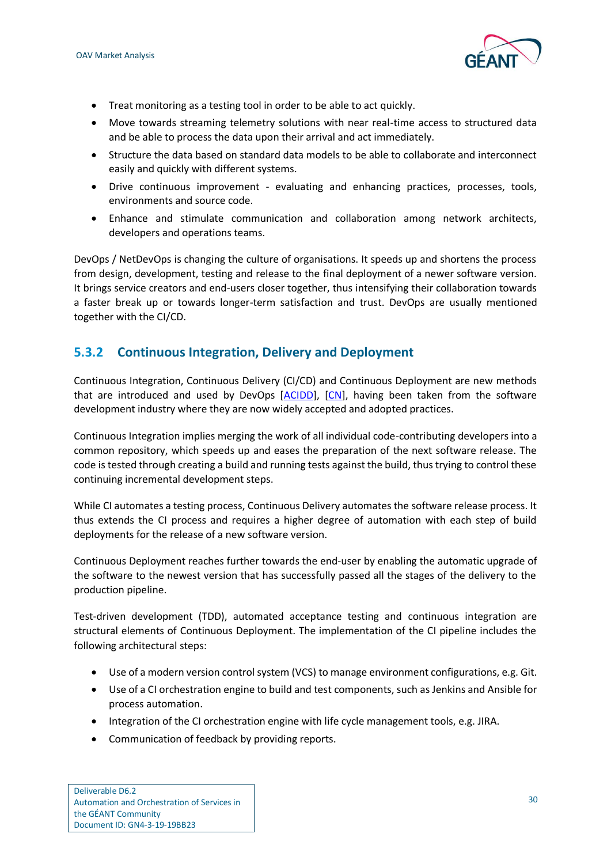

- Treat monitoring as a testing tool in order to be able to act quickly.
- Move towards streaming telemetry solutions with near real-time access to structured data and be able to process the data upon their arrival and act immediately.
- Structure the data based on standard data models to be able to collaborate and interconnect easily and quickly with different systems.
- Drive continuous improvement evaluating and enhancing practices, processes, tools, environments and source code.
- Enhance and stimulate communication and collaboration among network architects, developers and operations teams.

DevOps / NetDevOps is changing the culture of organisations. It speeds up and shortens the process from design, development, testing and release to the final deployment of a newer software version. It brings service creators and end-users closer together, thus intensifying their collaboration towards a faster break up or towards longer-term satisfaction and trust. DevOps are usually mentioned together with the CI/CD.

#### <span id="page-33-0"></span>**5.3.2 Continuous Integration, Delivery and Deployment**

Continuous Integration, Continuous Delivery (CI/CD) and Continuous Deployment are new methods that are introduced and used by DevOps [\[ACIDD\]](#page-47-9), [\[CN\]](#page-47-10), having been taken from the software development industry where they are now widely accepted and adopted practices.

Continuous Integration implies merging the work of all individual code-contributing developers into a common repository, which speeds up and eases the preparation of the next software release. The code is tested through creating a build and running tests against the build, thus trying to control these continuing incremental development steps.

While CI automates a testing process, Continuous Delivery automates the software release process. It thus extends the CI process and requires a higher degree of automation with each step of build deployments for the release of a new software version.

Continuous Deployment reaches further towards the end-user by enabling the automatic upgrade of the software to the newest version that has successfully passed all the stages of the delivery to the production pipeline.

Test-driven development (TDD), automated acceptance testing and continuous integration are structural elements of Continuous Deployment. The implementation of the CI pipeline includes the following architectural steps:

- Use of a modern version control system (VCS) to manage environment configurations, e.g. Git.
- Use of a CI orchestration engine to build and test components, such as Jenkins and Ansible for process automation.
- Integration of the CI orchestration engine with life cycle management tools, e.g. JIRA.
- Communication of feedback by providing reports.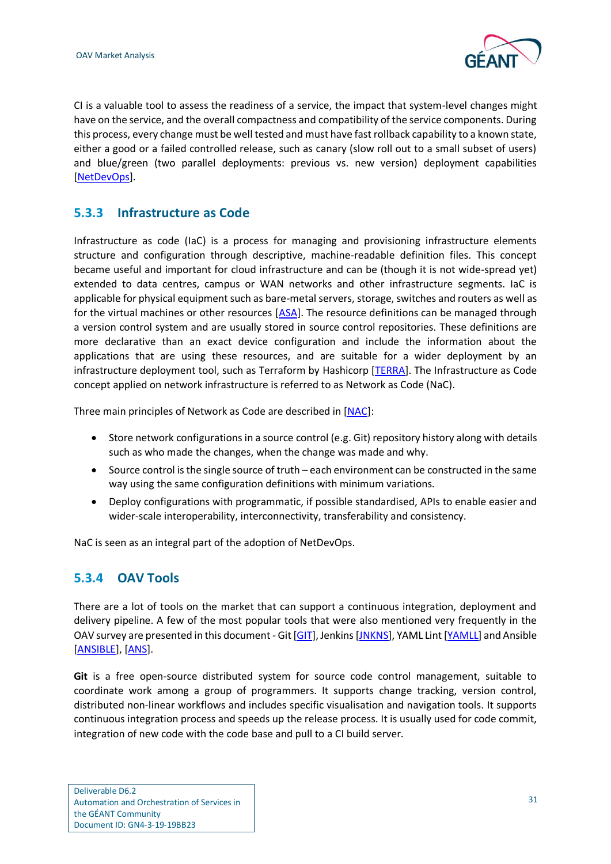

CI is a valuable tool to assess the readiness of a service, the impact that system-level changes might have on the service, and the overall compactness and compatibility of the service components. During this process, every change must be well tested and must have fast rollback capability to a known state, either a good or a failed controlled release, such as canary (slow roll out to a small subset of users) and blue/green (two parallel deployments: previous vs. new version) deployment capabilities [\[NetDevOps\]](#page-49-16).

#### <span id="page-34-0"></span>**5.3.3 Infrastructure as Code**

Infrastructure as code (IaC) is a process for managing and provisioning infrastructure elements structure and configuration through descriptive, machine-readable definition files. This concept became useful and important for cloud infrastructure and can be (though it is not wide-spread yet) extended to data centres, campus or WAN networks and other infrastructure segments. IaC is applicable for physical equipment such as bare-metal servers, storage, switches and routers as well as for the virtual machines or other resources [\[ASA\]](#page-47-11). The resource definitions can be managed through a version control system and are usually stored in source control repositories. These definitions are more declarative than an exact device configuration and include the information about the applications that are using these resources, and are suitable for a wider deployment by an infrastructure deployment tool, such as Terraform by Hashicorp [\[TERRA\]](#page-50-5). The Infrastructure as Code concept applied on network infrastructure is referred to as Network as Code (NaC).

Three main principles of Network as Code are described in [\[NAC\]](#page-49-18):

- Store network configurations in a source control (e.g. Git) repository history along with details such as who made the changes, when the change was made and why.
- Source control is the single source of truth each environment can be constructed in the same way using the same configuration definitions with minimum variations.
- Deploy configurations with programmatic, if possible standardised, APIs to enable easier and wider-scale interoperability, interconnectivity, transferability and consistency.

NaC is seen as an integral part of the adoption of NetDevOps.

#### <span id="page-34-1"></span>**5.3.4 OAV Tools**

There are a lot of tools on the market that can support a continuous integration, deployment and delivery pipeline. A few of the most popular tools that were also mentioned very frequently in the OAV survey are presented in this document - Git [\[GIT\]](#page-48-16), Jenkins [\[JNKNS\]](#page-48-17), YAML Lint [\[YAMLL\]](#page-50-6) and Ansible [\[ANSIBLE\]](#page-47-12), [\[ANS\]](#page-47-13).

**Git** is a free open-source distributed system for source code control management, suitable to coordinate work among a group of programmers. It supports change tracking, version control, distributed non-linear workflows and includes specific visualisation and navigation tools. It supports continuous integration process and speeds up the release process. It is usually used for code commit, integration of new code with the code base and pull to a CI build server.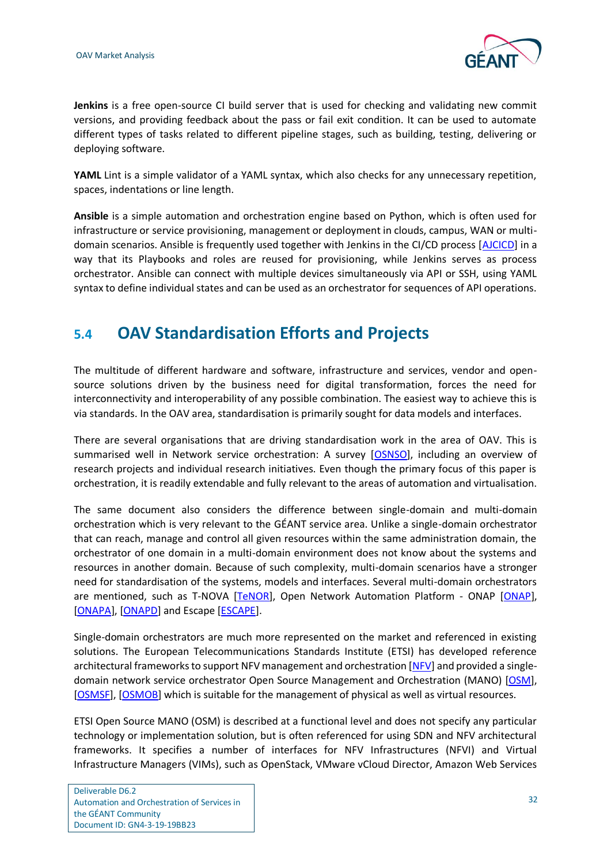

**Jenkins** is a free open-source CI build server that is used for checking and validating new commit versions, and providing feedback about the pass or fail exit condition. It can be used to automate different types of tasks related to different pipeline stages, such as building, testing, delivering or deploying software.

**YAML** Lint is a simple validator of a YAML syntax, which also checks for any unnecessary repetition, spaces, indentations or line length.

**Ansible** is a simple automation and orchestration engine based on Python, which is often used for infrastructure or service provisioning, management or deployment in clouds, campus, WAN or multidomain scenarios. Ansible is frequently used together with Jenkins in the CI/CD process [\[AJCICD\]](#page-47-14) in a way that its Playbooks and roles are reused for provisioning, while Jenkins serves as process orchestrator. Ansible can connect with multiple devices simultaneously via API or SSH, using YAML syntax to define individual states and can be used as an orchestrator for sequences of API operations.

### <span id="page-35-0"></span>**5.4 OAV Standardisation Efforts and Projects**

The multitude of different hardware and software, infrastructure and services, vendor and opensource solutions driven by the business need for digital transformation, forces the need for interconnectivity and interoperability of any possible combination. The easiest way to achieve this is via standards. In the OAV area, standardisation is primarily sought for data models and interfaces.

There are several organisations that are driving standardisation work in the area of OAV. This is summarised well in Network service orchestration: A survey [\[OSNSO\]](#page-49-19), including an overview of research projects and individual research initiatives. Even though the primary focus of this paper is orchestration, it is readily extendable and fully relevant to the areas of automation and virtualisation.

The same document also considers the difference between single-domain and multi-domain orchestration which is very relevant to the GÉANT service area. Unlike a single-domain orchestrator that can reach, manage and control all given resources within the same administration domain, the orchestrator of one domain in a multi-domain environment does not know about the systems and resources in another domain. Because of such complexity, multi-domain scenarios have a stronger need for standardisation of the systems, models and interfaces. Several multi-domain orchestrators are mentioned, such as T-NOVA [\[TeNOR\]](#page-50-7), Open Network Automation Platform - ONAP [\[ONAP\]](#page-49-20), [\[ONAPA\]](#page-49-21), [\[ONAPD\]](#page-49-22) and Escape [\[ESCAPE\]](#page-48-18).

Single-domain orchestrators are much more represented on the market and referenced in existing solutions. The European Telecommunications Standards Institute (ETSI) has developed reference architectural frameworks to support NFV management and orchestration [\[NFV\]](#page-49-23) and provided a singledomain network service orchestrator Open Source Management and Orchestration (MANO) [\[OSM\]](#page-49-24), [\[OSMSF\]](#page-49-25), [\[OSMOB\]](#page-49-26) which is suitable for the management of physical as well as virtual resources.

ETSI Open Source MANO (OSM) is described at a functional level and does not specify any particular technology or implementation solution, but is often referenced for using SDN and NFV architectural frameworks. It specifies a number of interfaces for NFV Infrastructures (NFVI) and Virtual Infrastructure Managers (VIMs), such as OpenStack, VMware vCloud Director, Amazon Web Services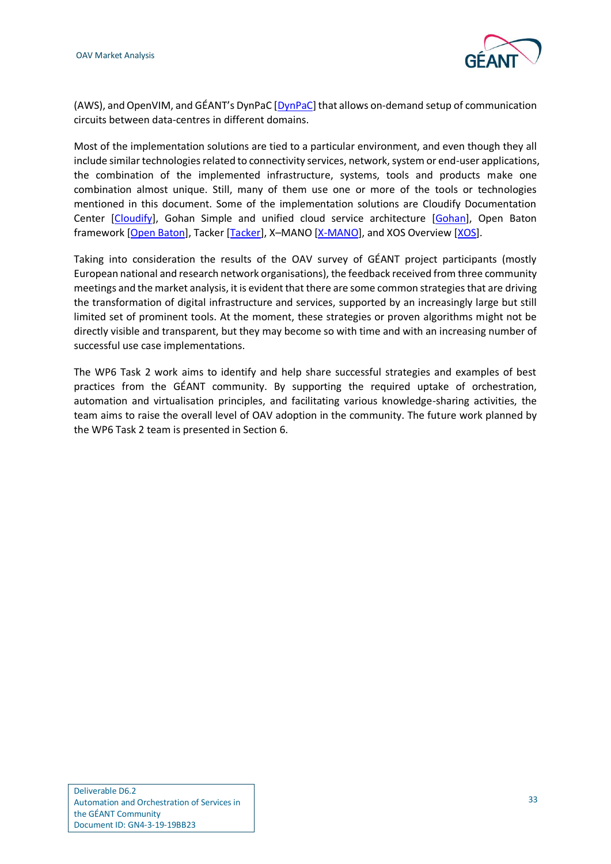

(AWS), and OpenVIM, and GÉANT's DynPaC [[DynPaC\]](#page-48-19) that allows on-demand setup of communication circuits between data-centres in different domains.

Most of the implementation solutions are tied to a particular environment, and even though they all include similar technologies related to connectivity services, network, system or end-user applications, the combination of the implemented infrastructure, systems, tools and products make one combination almost unique. Still, many of them use one or more of the tools or technologies mentioned in this document. Some of the implementation solutions are Cloudify Documentation Center [\[Cloudify\]](#page-47-15), Gohan Simple and unified cloud service architecture [\[Gohan\]](#page-48-20), Open Baton framework [\[Open Baton\]](#page-49-27), Tacker [\[Tacker\]](#page-50-8), X–MANO [\[X-MANO\]](#page-50-9), and XOS Overview [\[XOS\]](#page-50-10).

Taking into consideration the results of the OAV survey of GÉANT project participants (mostly European national and research network organisations), the feedback received from three community meetings and the market analysis, it is evident that there are some common strategies that are driving the transformation of digital infrastructure and services, supported by an increasingly large but still limited set of prominent tools. At the moment, these strategies or proven algorithms might not be directly visible and transparent, but they may become so with time and with an increasing number of successful use case implementations.

The WP6 Task 2 work aims to identify and help share successful strategies and examples of best practices from the GÉANT community. By supporting the required uptake of orchestration, automation and virtualisation principles, and facilitating various knowledge-sharing activities, the team aims to raise the overall level of OAV adoption in the community. The future work planned by the WP6 Task 2 team is presented in Section 6.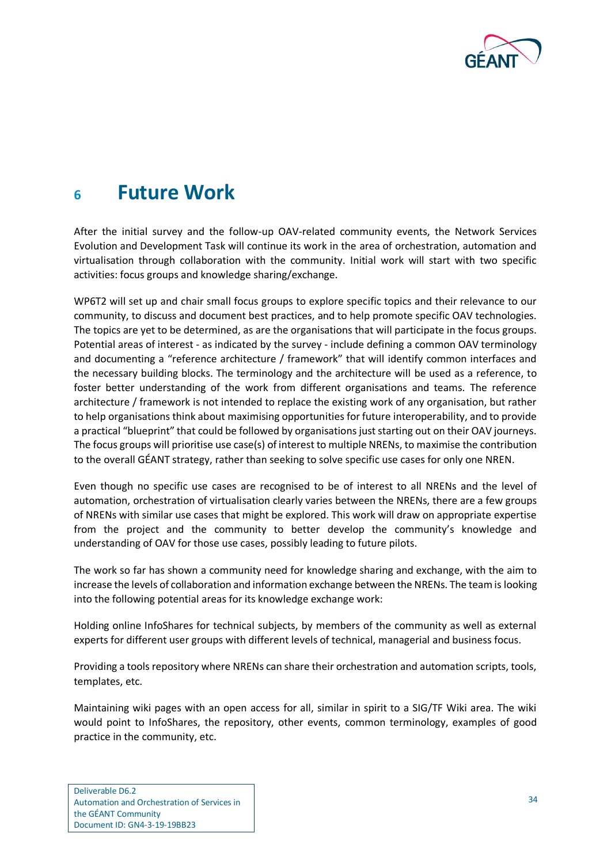

## <span id="page-37-0"></span>**<sup>6</sup> Future Work**

After the initial survey and the follow-up OAV-related community events, the Network Services Evolution and Development Task will continue its work in the area of orchestration, automation and virtualisation through collaboration with the community. Initial work will start with two specific activities: focus groups and knowledge sharing/exchange.

WP6T2 will set up and chair small focus groups to explore specific topics and their relevance to our community, to discuss and document best practices, and to help promote specific OAV technologies. The topics are yet to be determined, as are the organisations that will participate in the focus groups. Potential areas of interest - as indicated by the survey - include defining a common OAV terminology and documenting a "reference architecture / framework" that will identify common interfaces and the necessary building blocks. The terminology and the architecture will be used as a reference, to foster better understanding of the work from different organisations and teams. The reference architecture / framework is not intended to replace the existing work of any organisation, but rather to help organisations think about maximising opportunities for future interoperability, and to provide a practical "blueprint" that could be followed by organisations just starting out on their OAV journeys. The focus groups will prioritise use case(s) of interest to multiple NRENs, to maximise the contribution to the overall GÉANT strategy, rather than seeking to solve specific use cases for only one NREN.

Even though no specific use cases are recognised to be of interest to all NRENs and the level of automation, orchestration of virtualisation clearly varies between the NRENs, there are a few groups of NRENs with similar use cases that might be explored. This work will draw on appropriate expertise from the project and the community to better develop the community's knowledge and understanding of OAV for those use cases, possibly leading to future pilots.

The work so far has shown a community need for knowledge sharing and exchange, with the aim to increase the levels of collaboration and information exchange between the NRENs. The team is looking into the following potential areas for its knowledge exchange work:

Holding online InfoShares for technical subjects, by members of the community as well as external experts for different user groups with different levels of technical, managerial and business focus.

Providing a tools repository where NRENs can share their orchestration and automation scripts, tools, templates, etc.

Maintaining wiki pages with an open access for all, similar in spirit to a SIG/TF Wiki area. The wiki would point to InfoShares, the repository, other events, common terminology, examples of good practice in the community, etc.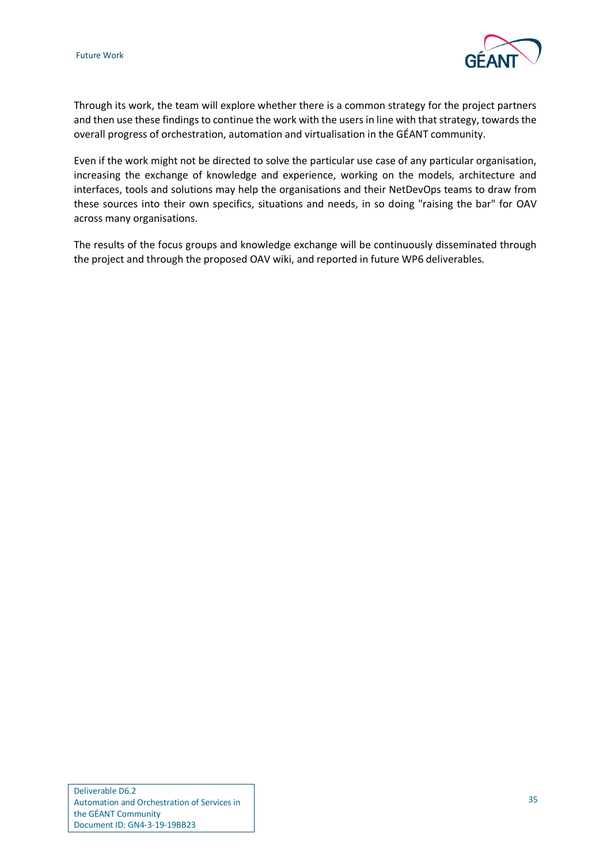

Through its work, the team will explore whether there is a common strategy for the project partners and then use these findings to continue the work with the users in line with that strategy, towards the overall progress of orchestration, automation and virtualisation in the GÉANT community.

Even if the work might not be directed to solve the particular use case of any particular organisation, increasing the exchange of knowledge and experience, working on the models, architecture and interfaces, tools and solutions may help the organisations and their NetDevOps teams to draw from these sources into their own specifics, situations and needs, in so doing "raising the bar" for OAV across many organisations.

The results of the focus groups and knowledge exchange will be continuously disseminated through the project and through the proposed OAV wiki, and reported in future WP6 deliverables.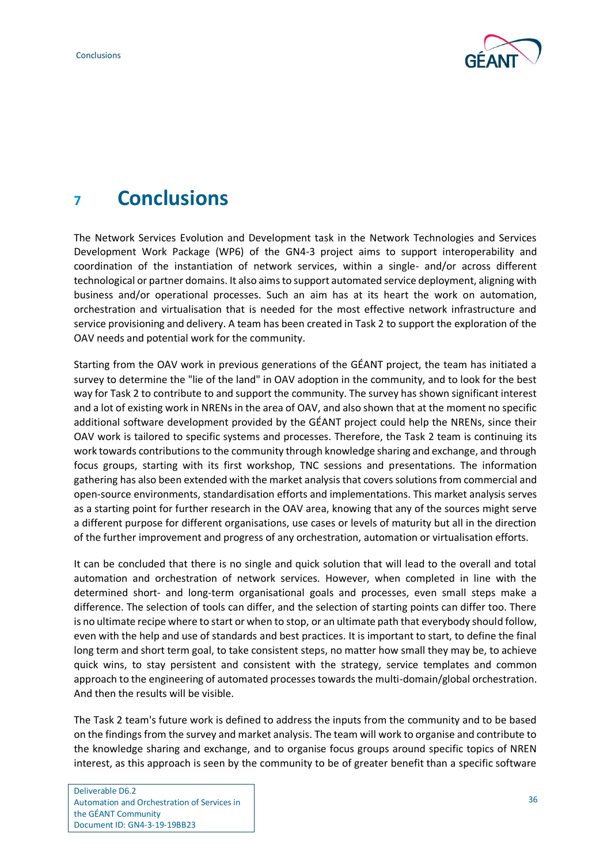

## <span id="page-39-0"></span>**<sup>7</sup> Conclusions**

The Network Services Evolution and Development task in the Network Technologies and Services Development Work Package (WP6) of the GN4-3 project aims to support interoperability and coordination of the instantiation of network services, within a single- and/or across different technological or partner domains. It also aims to support automated service deployment, aligning with business and/or operational processes. Such an aim has at its heart the work on automation, orchestration and virtualisation that is needed for the most effective network infrastructure and service provisioning and delivery. A team has been created in Task 2 to support the exploration of the OAV needs and potential work for the community.

Starting from the OAV work in previous generations of the GÉANT project, the team has initiated a survey to determine the "lie of the land" in OAV adoption in the community, and to look for the best way for Task 2 to contribute to and support the community. The survey has shown significant interest and a lot of existing work in NRENs in the area of OAV, and also shown that at the moment no specific additional software development provided by the GÉANT project could help the NRENs, since their OAV work is tailored to specific systems and processes. Therefore, the Task 2 team is continuing its work towards contributions to the community through knowledge sharing and exchange, and through focus groups, starting with its first workshop, TNC sessions and presentations. The information gathering has also been extended with the market analysis that covers solutions from commercial and open-source environments, standardisation efforts and implementations. This market analysis serves as a starting point for further research in the OAV area, knowing that any of the sources might serve a different purpose for different organisations, use cases or levels of maturity but all in the direction of the further improvement and progress of any orchestration, automation or virtualisation efforts.

It can be concluded that there is no single and quick solution that will lead to the overall and total automation and orchestration of network services. However, when completed in line with the determined short- and long-term organisational goals and processes, even small steps make a difference. The selection of tools can differ, and the selection of starting points can differ too. There is no ultimate recipe where to start or when to stop, or an ultimate path that everybody should follow, even with the help and use of standards and best practices. It is important to start, to define the final long term and short term goal, to take consistent steps, no matter how small they may be, to achieve quick wins, to stay persistent and consistent with the strategy, service templates and common approach to the engineering of automated processes towards the multi-domain/global orchestration. And then the results will be visible.

The Task 2 team's future work is defined to address the inputs from the community and to be based on the findings from the survey and market analysis. The team will work to organise and contribute to the knowledge sharing and exchange, and to organise focus groups around specific topics of NREN interest, as this approach is seen by the community to be of greater benefit than a specific software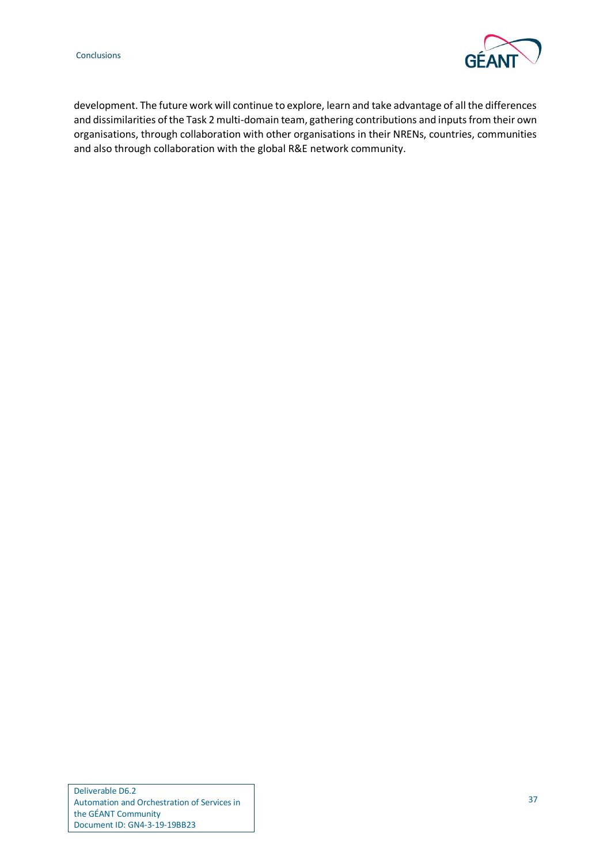

development. The future work will continue to explore, learn and take advantage of all the differences and dissimilarities of the Task 2 multi-domain team, gathering contributions and inputs from their own organisations, through collaboration with other organisations in their NRENs, countries, communities and also through collaboration with the global R&E network community.

Deliverable D6.2 Automation and Orchestration of Services in the GÉANT Community Document ID: GN4-3-19-19BB23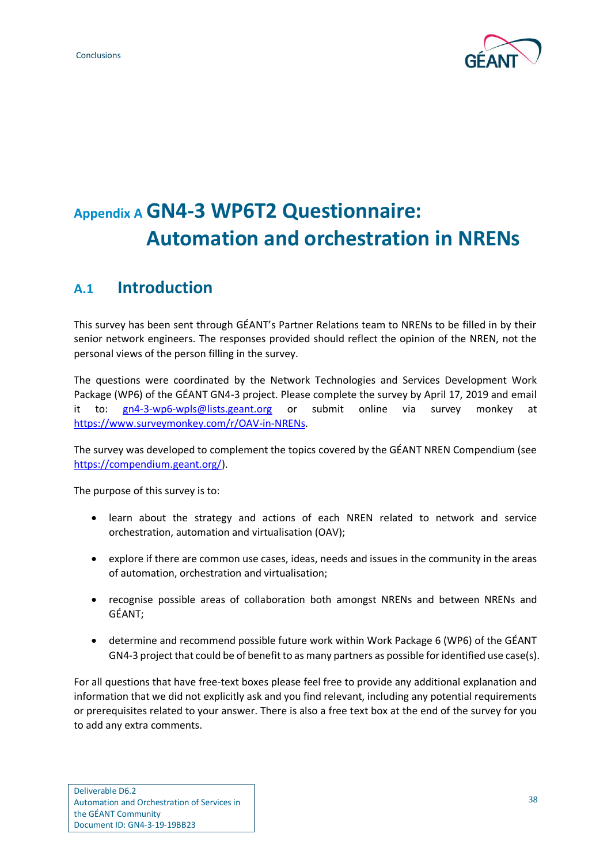

# <span id="page-41-0"></span>**Appendix A GN4-3 WP6T2 Questionnaire: Automation and orchestration in NRENs**

### <span id="page-41-1"></span>**A.1 Introduction**

This survey has been sent through GÉANT's Partner Relations team to NRENs to be filled in by their senior network engineers. The responses provided should reflect the opinion of the NREN, not the personal views of the person filling in the survey.

The questions were coordinated by the Network Technologies and Services Development Work Package (WP6) of the GÉANT GN4-3 project. Please complete the survey by April 17, 2019 and email it to: [gn4-3-wp6-wpls@lists.geant.org](mailto:gn4-3-wp6-wpls@lists.geant.org) or submit online via survey monkey at [https://www.surveymonkey.com/r/OAV-in-NRENs.](https://www.surveymonkey.com/r/OAV-in-NRENs)

The survey was developed to complement the topics covered by the GÉANT NREN Compendium (see [https://compendium.geant.org/\)](https://compendium.geant.org/).

The purpose of this survey is to:

- learn about the strategy and actions of each NREN related to network and service orchestration, automation and virtualisation (OAV);
- explore if there are common use cases, ideas, needs and issues in the community in the areas of automation, orchestration and virtualisation;
- recognise possible areas of collaboration both amongst NRENs and between NRENs and GÉANT;
- determine and recommend possible future work within Work Package 6 (WP6) of the GÉANT GN4-3 project that could be of benefit to as many partners as possible for identified use case(s).

For all questions that have free-text boxes please feel free to provide any additional explanation and information that we did not explicitly ask and you find relevant, including any potential requirements or prerequisites related to your answer. There is also a free text box at the end of the survey for you to add any extra comments.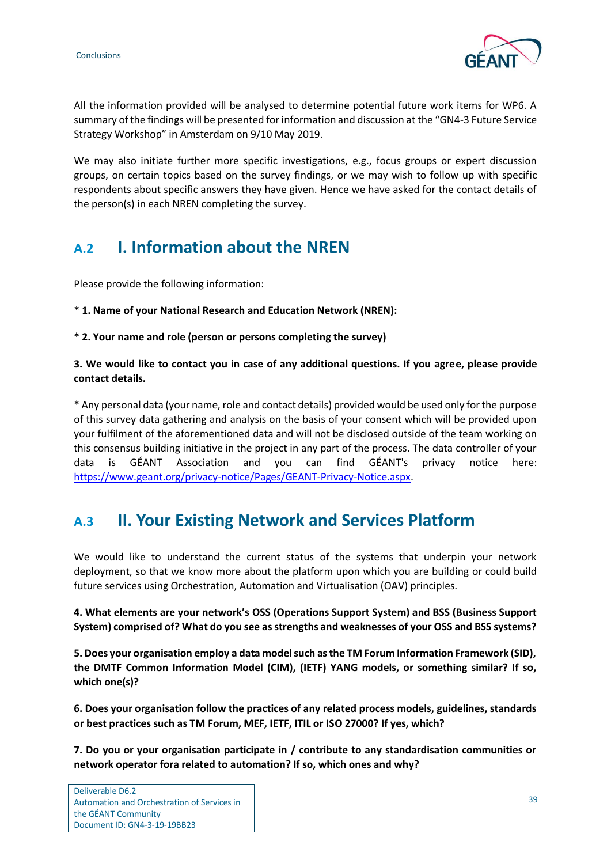

All the information provided will be analysed to determine potential future work items for WP6. A summary of the findings will be presented for information and discussion at the "GN4-3 Future Service Strategy Workshop" in Amsterdam on 9/10 May 2019.

We may also initiate further more specific investigations, e.g., focus groups or expert discussion groups, on certain topics based on the survey findings, or we may wish to follow up with specific respondents about specific answers they have given. Hence we have asked for the contact details of the person(s) in each NREN completing the survey.

### <span id="page-42-0"></span>**A.2 I. Information about the NREN**

Please provide the following information:

**\* 1. Name of your National Research and Education Network (NREN):** 

**\* 2. Your name and role (person or persons completing the survey)**

#### **3. We would like to contact you in case of any additional questions. If you agree, please provide contact details.**

\* Any personal data (your name, role and contact details) provided would be used only for the purpose of this survey data gathering and analysis on the basis of your consent which will be provided upon your fulfilment of the aforementioned data and will not be disclosed outside of the team working on this consensus building initiative in the project in any part of the process. The data controller of your data is GÉANT Association and you can find GÉANT's privacy notice here: [https://www.geant.org/privacy-notice/Pages/GEANT-Privacy-Notice.aspx.](https://www.geant.org/privacy-notice/Pages/GEANT-Privacy-Notice.aspx)

### <span id="page-42-1"></span>**A.3 II. Your Existing Network and Services Platform**

We would like to understand the current status of the systems that underpin your network deployment, so that we know more about the platform upon which you are building or could build future services using Orchestration, Automation and Virtualisation (OAV) principles.

**4. What elements are your network's OSS (Operations Support System) and BSS (Business Support System) comprised of? What do you see as strengths and weaknesses of your OSS and BSS systems?** 

**5. Does your organisation employ a data model such as the TM Forum Information Framework (SID), the DMTF Common Information Model (CIM), (IETF) YANG models, or something similar? If so, which one(s)?** 

**6. Does your organisation follow the practices of any related process models, guidelines, standards or best practices such as TM Forum, MEF, IETF, ITIL or ISO 27000? If yes, which?** 

**7. Do you or your organisation participate in / contribute to any standardisation communities or network operator fora related to automation? If so, which ones and why?**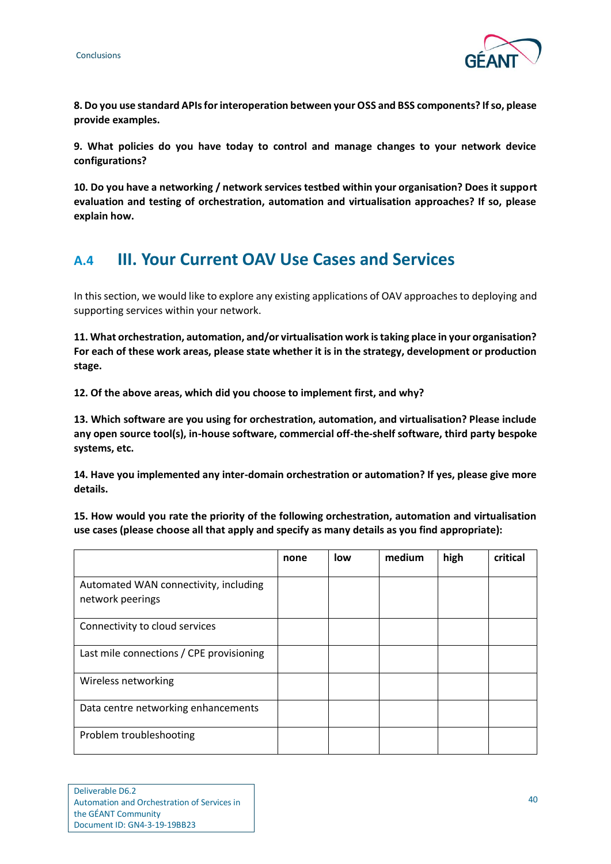

**8. Do you use standard APIs for interoperation between your OSS and BSS components? If so, please provide examples.** 

**9. What policies do you have today to control and manage changes to your network device configurations?** 

**10. Do you have a networking / network services testbed within your organisation? Does it support evaluation and testing of orchestration, automation and virtualisation approaches? If so, please explain how.**

### <span id="page-43-0"></span>**A.4 III. Your Current OAV Use Cases and Services**

In this section, we would like to explore any existing applications of OAV approaches to deploying and supporting services within your network.

**11. What orchestration, automation, and/or virtualisation work is taking place in your organisation? For each of these work areas, please state whether it is in the strategy, development or production stage.** 

**12. Of the above areas, which did you choose to implement first, and why?** 

**13. Which software are you using for orchestration, automation, and virtualisation? Please include any open source tool(s), in-house software, commercial off-the-shelf software, third party bespoke systems, etc.** 

**14. Have you implemented any inter-domain orchestration or automation? If yes, please give more details.** 

**15. How would you rate the priority of the following orchestration, automation and virtualisation use cases (please choose all that apply and specify as many details as you find appropriate):**

|                                                           | none | low | medium | high | critical |
|-----------------------------------------------------------|------|-----|--------|------|----------|
| Automated WAN connectivity, including<br>network peerings |      |     |        |      |          |
| Connectivity to cloud services                            |      |     |        |      |          |
| Last mile connections / CPE provisioning                  |      |     |        |      |          |
| Wireless networking                                       |      |     |        |      |          |
| Data centre networking enhancements                       |      |     |        |      |          |
| Problem troubleshooting                                   |      |     |        |      |          |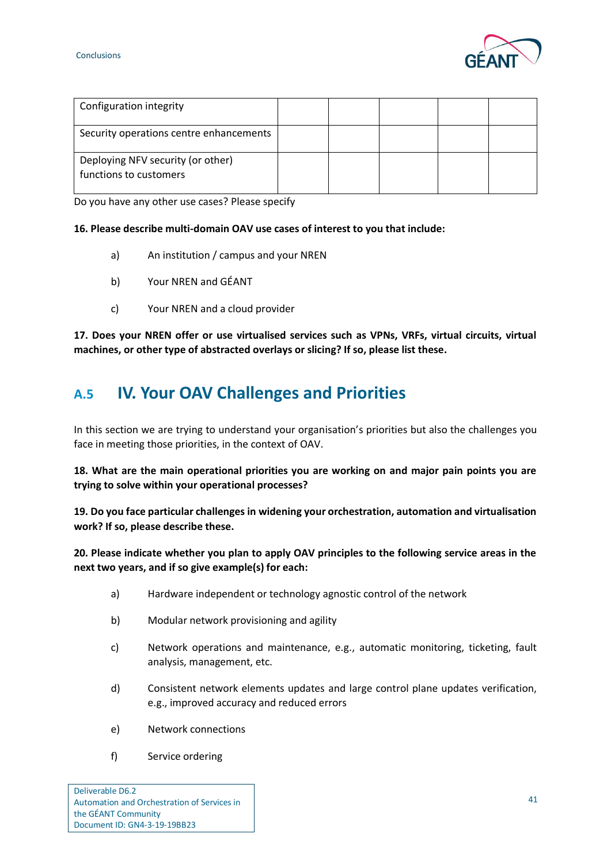

| Configuration integrity                                     |  |  |  |
|-------------------------------------------------------------|--|--|--|
| Security operations centre enhancements                     |  |  |  |
| Deploying NFV security (or other)<br>functions to customers |  |  |  |

Do you have any other use cases? Please specify

#### **16. Please describe multi-domain OAV use cases of interest to you that include:**

- a) An institution / campus and your NREN
- b) Your NREN and GÉANT
- c) Your NREN and a cloud provider

**17. Does your NREN offer or use virtualised services such as VPNs, VRFs, virtual circuits, virtual machines, or other type of abstracted overlays or slicing? If so, please list these.** 

### <span id="page-44-0"></span>**A.5 IV. Your OAV Challenges and Priorities**

In this section we are trying to understand your organisation's priorities but also the challenges you face in meeting those priorities, in the context of OAV.

**18. What are the main operational priorities you are working on and major pain points you are trying to solve within your operational processes?** 

**19. Do you face particular challenges in widening your orchestration, automation and virtualisation work? If so, please describe these.** 

**20. Please indicate whether you plan to apply OAV principles to the following service areas in the next two years, and if so give example(s) for each:**

- a) Hardware independent or technology agnostic control of the network
- b) Modular network provisioning and agility
- c) Network operations and maintenance, e.g., automatic monitoring, ticketing, fault analysis, management, etc.
- d) Consistent network elements updates and large control plane updates verification, e.g., improved accuracy and reduced errors
- e) Network connections
- f) Service ordering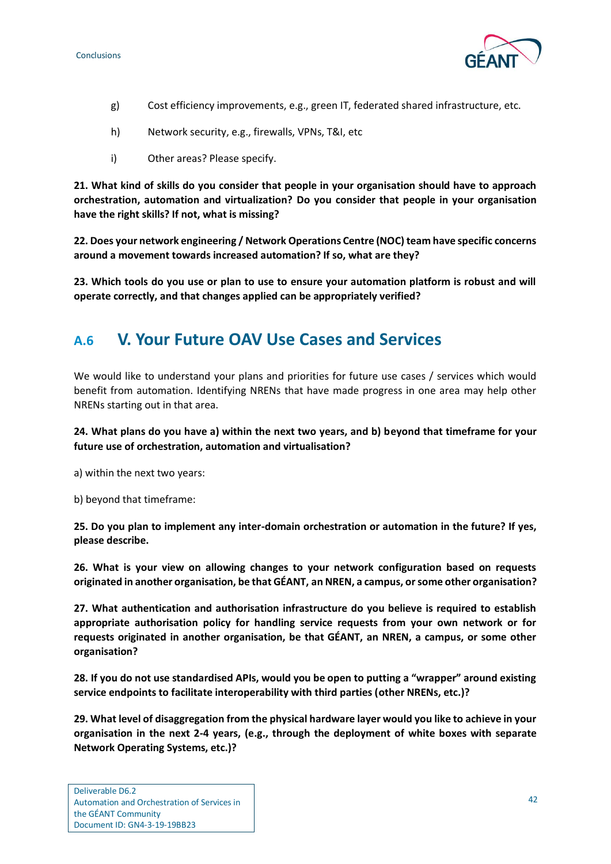

- g) Cost efficiency improvements, e.g., green IT, federated shared infrastructure, etc.
- h) Network security, e.g., firewalls, VPNs, T&I, etc
- i) Other areas? Please specify.

**21. What kind of skills do you consider that people in your organisation should have to approach orchestration, automation and virtualization? Do you consider that people in your organisation have the right skills? If not, what is missing?** 

**22. Does your network engineering / Network Operations Centre (NOC) team have specific concerns around a movement towards increased automation? If so, what are they?** 

**23. Which tools do you use or plan to use to ensure your automation platform is robust and will operate correctly, and that changes applied can be appropriately verified?**

### <span id="page-45-0"></span>**A.6 V. Your Future OAV Use Cases and Services**

We would like to understand your plans and priorities for future use cases / services which would benefit from automation. Identifying NRENs that have made progress in one area may help other NRENs starting out in that area.

**24. What plans do you have a) within the next two years, and b) beyond that timeframe for your future use of orchestration, automation and virtualisation?** 

a) within the next two years:

b) beyond that timeframe:

**25. Do you plan to implement any inter-domain orchestration or automation in the future? If yes, please describe.** 

**26. What is your view on allowing changes to your network configuration based on requests originated in another organisation, be that GÉANT, an NREN, a campus, or some other organisation?** 

**27. What authentication and authorisation infrastructure do you believe is required to establish appropriate authorisation policy for handling service requests from your own network or for requests originated in another organisation, be that GÉANT, an NREN, a campus, or some other organisation?** 

**28. If you do not use standardised APIs, would you be open to putting a "wrapper" around existing service endpoints to facilitate interoperability with third parties (other NRENs, etc.)?** 

**29. What level of disaggregation from the physical hardware layer would you like to achieve in your organisation in the next 2-4 years, (e.g., through the deployment of white boxes with separate Network Operating Systems, etc.)?**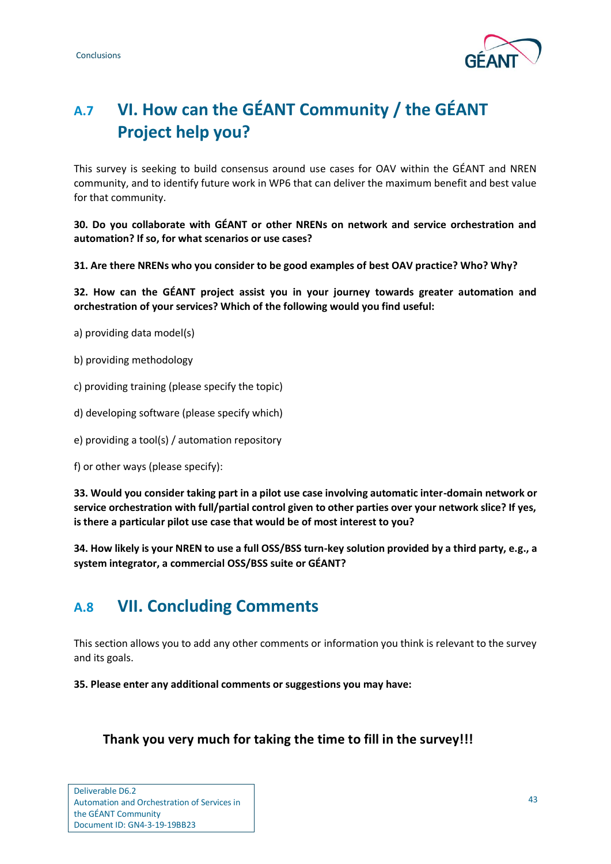

## <span id="page-46-0"></span>**A.7 VI. How can the GÉANT Community / the GÉANT Project help you?**

This survey is seeking to build consensus around use cases for OAV within the GÉANT and NREN community, and to identify future work in WP6 that can deliver the maximum benefit and best value for that community.

**30. Do you collaborate with GÉANT or other NRENs on network and service orchestration and automation? If so, for what scenarios or use cases?** 

**31. Are there NRENs who you consider to be good examples of best OAV practice? Who? Why?** 

**32. How can the GÉANT project assist you in your journey towards greater automation and orchestration of your services? Which of the following would you find useful:** 

- a) providing data model(s)
- b) providing methodology
- c) providing training (please specify the topic)
- d) developing software (please specify which)
- e) providing a tool(s) / automation repository
- f) or other ways (please specify):

**33. Would you consider taking part in a pilot use case involving automatic inter-domain network or service orchestration with full/partial control given to other parties over your network slice? If yes, is there a particular pilot use case that would be of most interest to you?** 

**34. How likely is your NREN to use a full OSS/BSS turn-key solution provided by a third party, e.g., a system integrator, a commercial OSS/BSS suite or GÉANT?** 

### <span id="page-46-1"></span>**A.8 VII. Concluding Comments**

This section allows you to add any other comments or information you think is relevant to the survey and its goals.

**35. Please enter any additional comments or suggestions you may have:** 

#### **Thank you very much for taking the time to fill in the survey!!!**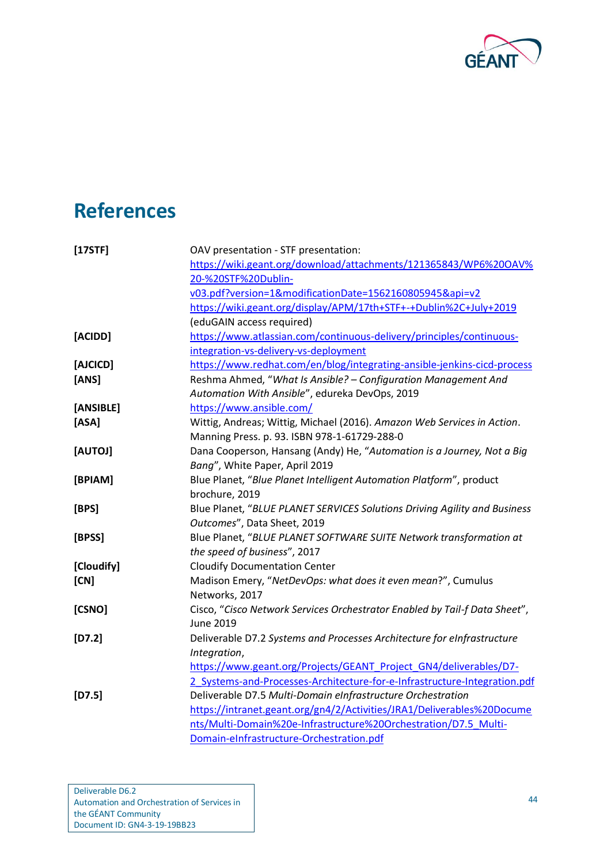

# <span id="page-47-0"></span>**References**

<span id="page-47-15"></span><span id="page-47-14"></span><span id="page-47-13"></span><span id="page-47-12"></span><span id="page-47-11"></span><span id="page-47-10"></span><span id="page-47-9"></span><span id="page-47-8"></span><span id="page-47-7"></span><span id="page-47-6"></span><span id="page-47-5"></span><span id="page-47-4"></span><span id="page-47-3"></span><span id="page-47-2"></span><span id="page-47-1"></span>

| [17STF]    | OAV presentation - STF presentation:                                       |
|------------|----------------------------------------------------------------------------|
|            | https://wiki.geant.org/download/attachments/121365843/WP6%20OAV%           |
|            | 20-%20STF%20Dublin-                                                        |
|            | v03.pdf?version=1&modificationDate=1562160805945&api=v2                    |
|            | https://wiki.geant.org/display/APM/17th+STF+-+Dublin%2C+July+2019          |
|            | (eduGAIN access required)                                                  |
| [ACIDD]    | https://www.atlassian.com/continuous-delivery/principles/continuous-       |
|            | integration-vs-delivery-vs-deployment                                      |
| [AJCICD]   | https://www.redhat.com/en/blog/integrating-ansible-jenkins-cicd-process    |
| [ANS]      | Reshma Ahmed, "What Is Ansible? - Configuration Management And             |
|            | Automation With Ansible", edureka DevOps, 2019                             |
| [ANSIBLE]  | https://www.ansible.com/                                                   |
| [ASA]      | Wittig, Andreas; Wittig, Michael (2016). Amazon Web Services in Action.    |
|            | Manning Press. p. 93. ISBN 978-1-61729-288-0                               |
| [AUTOJ]    | Dana Cooperson, Hansang (Andy) He, "Automation is a Journey, Not a Big     |
|            | Bang", White Paper, April 2019                                             |
| [BPIAM]    | Blue Planet, "Blue Planet Intelligent Automation Platform", product        |
|            | brochure, 2019                                                             |
| [BPS]      | Blue Planet, "BLUE PLANET SERVICES Solutions Driving Agility and Business  |
|            | Outcomes", Data Sheet, 2019                                                |
| [BPSS]     | Blue Planet, "BLUE PLANET SOFTWARE SUITE Network transformation at         |
|            | the speed of business", 2017                                               |
| [Cloudify] | <b>Cloudify Documentation Center</b>                                       |
| [CN]       | Madison Emery, "NetDevOps: what does it even mean?", Cumulus               |
|            | Networks, 2017                                                             |
| [CSNO]     | Cisco, "Cisco Network Services Orchestrator Enabled by Tail-f Data Sheet", |
|            | <b>June 2019</b>                                                           |
| $[D7.2]$   | Deliverable D7.2 Systems and Processes Architecture for eInfrastructure    |
|            | Integration,                                                               |
|            | https://www.geant.org/Projects/GEANT Project GN4/deliverables/D7-          |
|            | 2_Systems-and-Processes-Architecture-for-e-Infrastructure-Integration.pdf  |
| $[D7.5]$   | Deliverable D7.5 Multi-Domain eInfrastructure Orchestration                |
|            | https://intranet.geant.org/gn4/2/Activities/JRA1/Deliverables%20Docume     |
|            | nts/Multi-Domain%20e-Infrastructure%20Orchestration/D7.5 Multi-            |
|            | Domain-eInfrastructure-Orchestration.pdf                                   |
|            |                                                                            |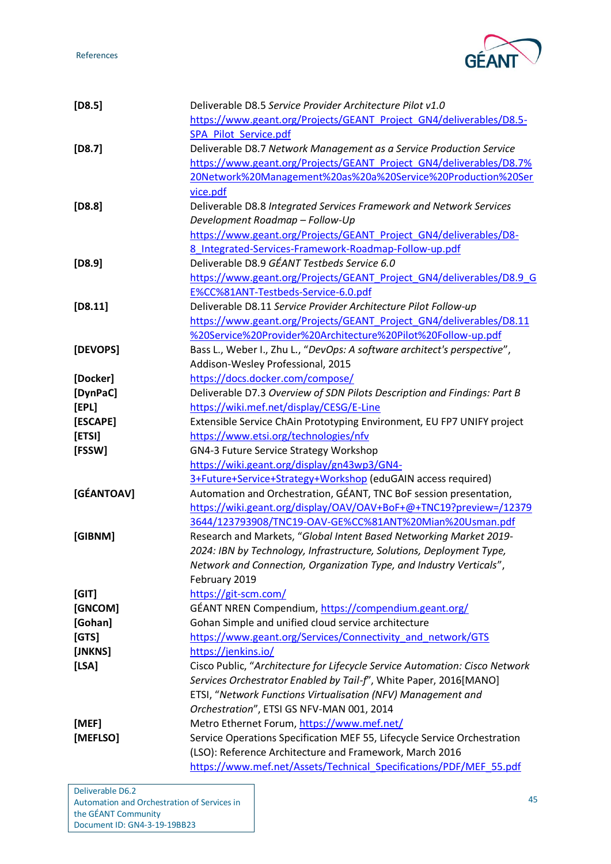

<span id="page-48-19"></span><span id="page-48-18"></span><span id="page-48-15"></span><span id="page-48-9"></span><span id="page-48-8"></span><span id="page-48-7"></span><span id="page-48-5"></span><span id="page-48-3"></span><span id="page-48-2"></span><span id="page-48-1"></span>

| $[D8.5]$   | Deliverable D8.5 Service Provider Architecture Pilot v1.0                   |
|------------|-----------------------------------------------------------------------------|
|            | https://www.geant.org/Projects/GEANT Project GN4/deliverables/D8.5-         |
|            | SPA Pilot Service.pdf                                                       |
| $[D8.7]$   | Deliverable D8.7 Network Management as a Service Production Service         |
|            | https://www.geant.org/Projects/GEANT Project GN4/deliverables/D8.7%         |
|            | 20Network%20Management%20as%20a%20Service%20Production%20Ser                |
|            | vice.pdf                                                                    |
| $[D8.8]$   | Deliverable D8.8 Integrated Services Framework and Network Services         |
|            | Development Roadmap - Follow-Up                                             |
|            | https://www.geant.org/Projects/GEANT Project GN4/deliverables/D8-           |
|            | 8 Integrated-Services-Framework-Roadmap-Follow-up.pdf                       |
| $[D8.9]$   | Deliverable D8.9 GÉANT Testbeds Service 6.0                                 |
|            | https://www.geant.org/Projects/GEANT Project GN4/deliverables/D8.9 G        |
|            | E%CC%81ANT-Testbeds-Service-6.0.pdf                                         |
| [D8.11]    | Deliverable D8.11 Service Provider Architecture Pilot Follow-up             |
|            | https://www.geant.org/Projects/GEANT Project GN4/deliverables/D8.11         |
|            | %20Service%20Provider%20Architecture%20Pilot%20Follow-up.pdf                |
|            |                                                                             |
| [DEVOPS]   | Bass L., Weber I., Zhu L., "DevOps: A software architect's perspective",    |
|            | Addison-Wesley Professional, 2015                                           |
| [Docker]   | https://docs.docker.com/compose/                                            |
| [DynPaC]   | Deliverable D7.3 Overview of SDN Pilots Description and Findings: Part B    |
| [EPL]      | https://wiki.mef.net/display/CESG/E-Line                                    |
| [ESCAPE]   | Extensible Service ChAin Prototyping Environment, EU FP7 UNIFY project      |
| [ETSI]     | https://www.etsi.org/technologies/nfv                                       |
| [FSSW]     | GN4-3 Future Service Strategy Workshop                                      |
|            | https://wiki.geant.org/display/gn43wp3/GN4-                                 |
|            | 3+Future+Service+Strategy+Workshop (eduGAIN access required)                |
| [GÉANTOAV] | Automation and Orchestration, GÉANT, TNC BoF session presentation,          |
|            | https://wiki.geant.org/display/OAV/OAV+BoF+@+TNC19?preview=/12379           |
|            | 3644/123793908/TNC19-OAV-GE%CC%81ANT%20Mian%20Usman.pdf                     |
| [GIBNM]    | Research and Markets, "Global Intent Based Networking Market 2019-          |
|            | 2024: IBN by Technology, Infrastructure, Solutions, Deployment Type,        |
|            | Network and Connection, Organization Type, and Industry Verticals",         |
|            | February 2019                                                               |
| [GIT]      | https://git-scm.com/                                                        |
| [GNCOM]    | GÉANT NREN Compendium, https://compendium.geant.org/                        |
| [Gohan]    | Gohan Simple and unified cloud service architecture                         |
| [GTS]      | https://www.geant.org/Services/Connectivity and network/GTS                 |
| [JNKNS]    | https://jenkins.io/                                                         |
| [LSA]      | Cisco Public, "Architecture for Lifecycle Service Automation: Cisco Network |
|            | Services Orchestrator Enabled by Tail-f", White Paper, 2016[MANO]           |
|            | ETSI, "Network Functions Virtualisation (NFV) Management and                |
|            | Orchestration", ETSI GS NFV-MAN 001, 2014                                   |
| [MEF]      | Metro Ethernet Forum, https://www.mef.net/                                  |
| [MEFLSO]   | Service Operations Specification MEF 55, Lifecycle Service Orchestration    |
|            | (LSO): Reference Architecture and Framework, March 2016                     |
|            | https://www.mef.net/Assets/Technical Specifications/PDF/MEF 55.pdf          |
|            |                                                                             |

<span id="page-48-20"></span><span id="page-48-17"></span><span id="page-48-16"></span><span id="page-48-14"></span><span id="page-48-13"></span><span id="page-48-12"></span><span id="page-48-11"></span><span id="page-48-10"></span><span id="page-48-6"></span><span id="page-48-4"></span><span id="page-48-0"></span>Deliverable D6.2 Automation and Orchestration of Services in the GÉANT Community Document ID: GN4-3-19-19BB23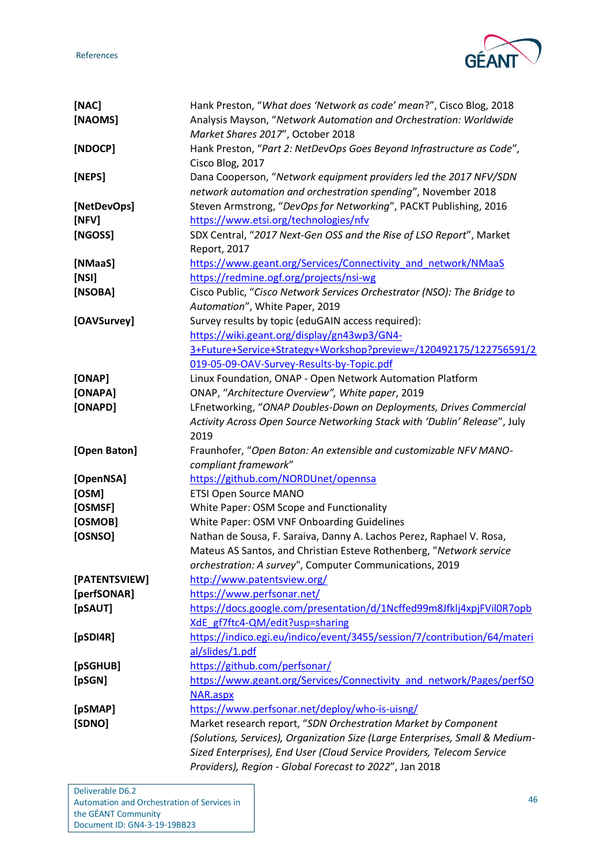References



<span id="page-49-27"></span><span id="page-49-26"></span><span id="page-49-25"></span><span id="page-49-24"></span><span id="page-49-23"></span><span id="page-49-22"></span><span id="page-49-21"></span><span id="page-49-20"></span><span id="page-49-19"></span><span id="page-49-18"></span><span id="page-49-17"></span><span id="page-49-16"></span><span id="page-49-15"></span><span id="page-49-14"></span><span id="page-49-13"></span><span id="page-49-12"></span><span id="page-49-11"></span><span id="page-49-10"></span><span id="page-49-9"></span><span id="page-49-8"></span><span id="page-49-7"></span><span id="page-49-6"></span><span id="page-49-5"></span><span id="page-49-4"></span><span id="page-49-3"></span><span id="page-49-2"></span><span id="page-49-1"></span><span id="page-49-0"></span>

| [NAC]         | Hank Preston, "What does 'Network as code' mean?", Cisco Blog, 2018                                                               |
|---------------|-----------------------------------------------------------------------------------------------------------------------------------|
| [NAOMS]       | Analysis Mayson, "Network Automation and Orchestration: Worldwide                                                                 |
|               | Market Shares 2017", October 2018                                                                                                 |
| [NDOCP]       | Hank Preston, "Part 2: NetDevOps Goes Beyond Infrastructure as Code",                                                             |
|               | Cisco Blog, 2017                                                                                                                  |
| [NEPS]        | Dana Cooperson, "Network equipment providers led the 2017 NFV/SDN                                                                 |
|               | network automation and orchestration spending", November 2018                                                                     |
| [NetDevOps]   | Steven Armstrong, "DevOps for Networking", PACKT Publishing, 2016                                                                 |
| [NFV]         | https://www.etsi.org/technologies/nfv                                                                                             |
| [NGOSS]       | SDX Central, "2017 Next-Gen OSS and the Rise of LSO Report", Market                                                               |
|               | Report, 2017                                                                                                                      |
| [NMaaS]       | https://www.geant.org/Services/Connectivity and network/NMaaS                                                                     |
| [NSI]         | https://redmine.ogf.org/projects/nsi-wg                                                                                           |
| [NSOBA]       | Cisco Public, "Cisco Network Services Orchestrator (NSO): The Bridge to                                                           |
|               | Automation", White Paper, 2019                                                                                                    |
|               |                                                                                                                                   |
| [OAVSurvey]   | Survey results by topic (eduGAIN access required):                                                                                |
|               | https://wiki.geant.org/display/gn43wp3/GN4-                                                                                       |
|               | 3+Future+Service+Strategy+Workshop?preview=/120492175/122756591/2                                                                 |
|               | 019-05-09-OAV-Survey-Results-by-Topic.pdf                                                                                         |
| [ONAP]        | Linux Foundation, ONAP - Open Network Automation Platform                                                                         |
| [ONAPA]       | ONAP, "Architecture Overview", White paper, 2019                                                                                  |
| [ONAPD]       | LFnetworking, "ONAP Doubles-Down on Deployments, Drives Commercial                                                                |
|               | Activity Across Open Source Networking Stack with 'Dublin' Release", July                                                         |
|               | 2019                                                                                                                              |
| [Open Baton]  | Fraunhofer, "Open Baton: An extensible and customizable NFV MANO-                                                                 |
|               | compliant framework"                                                                                                              |
| [OpenNSA]     | https://github.com/NORDUnet/opennsa                                                                                               |
| [OSM]         | <b>ETSI Open Source MANO</b>                                                                                                      |
| [OSMSF]       | White Paper: OSM Scope and Functionality                                                                                          |
|               |                                                                                                                                   |
| [OSMOB]       | White Paper: OSM VNF Onboarding Guidelines                                                                                        |
| [OSNSO]       | Nathan de Sousa, F. Saraiva, Danny A. Lachos Perez, Raphael V. Rosa,                                                              |
|               | Mateus AS Santos, and Christian Esteve Rothenberg, "Network service                                                               |
|               |                                                                                                                                   |
|               | orchestration: A survey", Computer Communications, 2019                                                                           |
| [PATENTSVIEW] | http://www.patentsview.org/                                                                                                       |
| [perfSONAR]   | https://www.perfsonar.net/                                                                                                        |
| [pSAUT]       | https://docs.google.com/presentation/d/1Ncffed99m8Jfklj4xpjFVil0R7opb                                                             |
|               | XdE gf7ftc4-QM/edit?usp=sharing                                                                                                   |
| [pSDI4R]      | https://indico.egi.eu/indico/event/3455/session/7/contribution/64/materi                                                          |
|               | al/slides/1.pdf                                                                                                                   |
| [pSGHUB]      | https://github.com/perfsonar/                                                                                                     |
| [pSGN]        | https://www.geant.org/Services/Connectivity and network/Pages/perfSO                                                              |
|               | NAR.aspx                                                                                                                          |
| [pSMAP]       | https://www.perfsonar.net/deploy/who-is-uisng/                                                                                    |
| [SDNO]        | Market research report, "SDN Orchestration Market by Component                                                                    |
|               | (Solutions, Services), Organization Size (Large Enterprises, Small & Medium-                                                      |
|               | Sized Enterprises), End User (Cloud Service Providers, Telecom Service<br>Providers), Region - Global Forecast to 2022", Jan 2018 |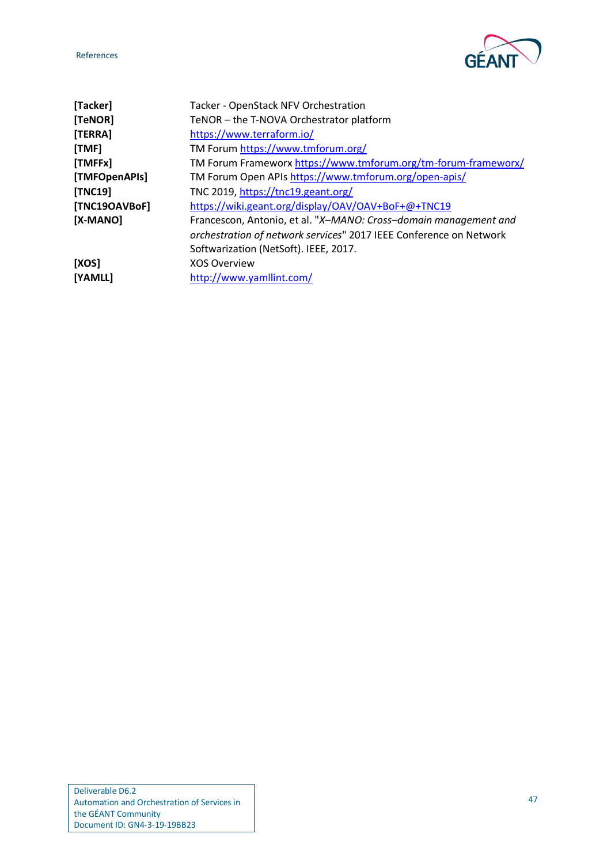

<span id="page-50-10"></span><span id="page-50-9"></span><span id="page-50-8"></span><span id="page-50-7"></span><span id="page-50-6"></span><span id="page-50-5"></span><span id="page-50-4"></span><span id="page-50-3"></span><span id="page-50-2"></span><span id="page-50-1"></span><span id="page-50-0"></span>

| [Tacker]       | Tacker - OpenStack NFV Orchestration                               |
|----------------|--------------------------------------------------------------------|
| [TeNOR]        | TeNOR - the T-NOVA Orchestrator platform                           |
| [TERRA]        | https://www.terraform.io/                                          |
| [TMF]          | TM Forum https://www.tmforum.org/                                  |
| [TMFFx]        | TM Forum Frameworx https://www.tmforum.org/tm-forum-frameworx/     |
| [TMFOpenAPIs]  | TM Forum Open APIs https://www.tmforum.org/open-apis/              |
| <b>[TNC19]</b> | TNC 2019, https://tnc19.geant.org/                                 |
| [TNC19OAVBoF]  | https://wiki.geant.org/display/OAV/OAV+BoF+@+TNC19                 |
| [X-MANO]       | Francescon, Antonio, et al. "X-MANO: Cross-domain management and   |
|                | orchestration of network services" 2017 IEEE Conference on Network |
|                | Softwarization (NetSoft). IEEE, 2017.                              |
| [XOS]          | <b>XOS Overview</b>                                                |
| [YAMLL]        | http://www.yamllint.com/                                           |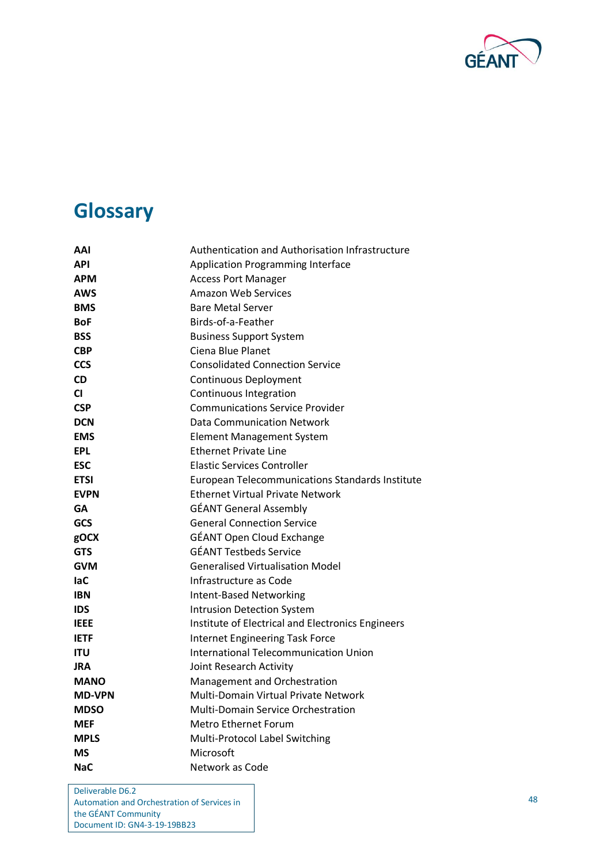

# <span id="page-51-0"></span>**Glossary**

| AAI           | Authentication and Authorisation Infrastructure        |
|---------------|--------------------------------------------------------|
| <b>API</b>    | <b>Application Programming Interface</b>               |
| <b>APM</b>    | <b>Access Port Manager</b>                             |
| <b>AWS</b>    | Amazon Web Services                                    |
| <b>BMS</b>    | <b>Bare Metal Server</b>                               |
| <b>BoF</b>    | Birds-of-a-Feather                                     |
| <b>BSS</b>    | <b>Business Support System</b>                         |
| <b>CBP</b>    | Ciena Blue Planet                                      |
| <b>CCS</b>    | <b>Consolidated Connection Service</b>                 |
| <b>CD</b>     | <b>Continuous Deployment</b>                           |
| <b>CI</b>     | Continuous Integration                                 |
| <b>CSP</b>    | <b>Communications Service Provider</b>                 |
| <b>DCN</b>    | <b>Data Communication Network</b>                      |
| <b>EMS</b>    | Element Management System                              |
| <b>EPL</b>    | <b>Ethernet Private Line</b>                           |
| <b>ESC</b>    | <b>Elastic Services Controller</b>                     |
| <b>ETSI</b>   | <b>European Telecommunications Standards Institute</b> |
| <b>EVPN</b>   | <b>Ethernet Virtual Private Network</b>                |
| GΑ            | <b>GÉANT General Assembly</b>                          |
| <b>GCS</b>    | General Connection Service                             |
| gOCX          | <b>GÉANT Open Cloud Exchange</b>                       |
| <b>GTS</b>    | <b>GÉANT Testbeds Service</b>                          |
| <b>GVM</b>    | <b>Generalised Virtualisation Model</b>                |
| <b>laC</b>    | Infrastructure as Code                                 |
| <b>IBN</b>    | <b>Intent-Based Networking</b>                         |
| <b>IDS</b>    | <b>Intrusion Detection System</b>                      |
| <b>IEEE</b>   | Institute of Electrical and Electronics Engineers      |
| <b>IETF</b>   | <b>Internet Engineering Task Force</b>                 |
| <b>ITU</b>    | <b>International Telecommunication Union</b>           |
| <b>JRA</b>    | Joint Research Activity                                |
| <b>MANO</b>   | Management and Orchestration                           |
| <b>MD-VPN</b> | Multi-Domain Virtual Private Network                   |
| <b>MDSO</b>   | <b>Multi-Domain Service Orchestration</b>              |
| <b>MEF</b>    | Metro Ethernet Forum                                   |
| <b>MPLS</b>   | Multi-Protocol Label Switching                         |
| <b>MS</b>     | Microsoft                                              |
| <b>NaC</b>    | Network as Code                                        |

Deliverable D6.2 Automation and Orchestration of Services in the GÉANT Community Document ID: GN4-3-19-19BB23